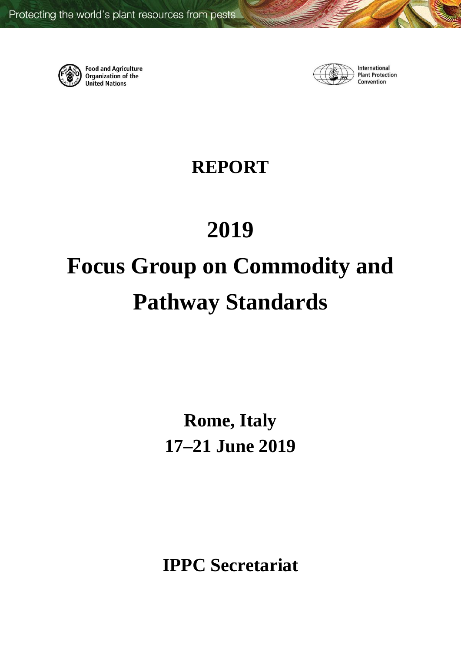

**Food and Agriculture Organization of the United Nations** 



International **Plant Protection** Convention

## **REPORT**

# **2019 Focus Group on Commodity and Pathway Standards**

## **Rome, Italy 17–21 June 2019**

**IPPC Secretariat**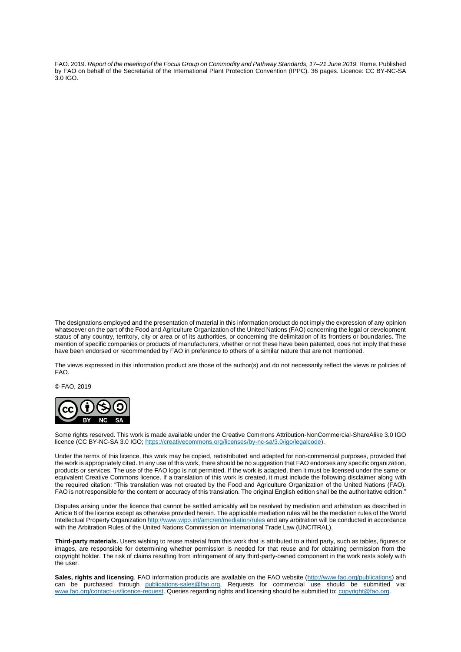FAO. 2019. *Report of the meeting of the Focus Group on Commodity and Pathway Standards, 17–21 June 2019.* Rome. Published by FAO on behalf of the Secretariat of the International Plant Protection Convention (IPPC). 36 pages. Licence: CC BY-NC-SA 3.0 IGO.

The designations employed and the presentation of material in this information product do not imply the expression of any opinion whatsoever on the part of the Food and Agriculture Organization of the United Nations (FAO) concerning the legal or development status of any country, territory, city or area or of its authorities, or concerning the delimitation of its frontiers or boundaries. The mention of specific companies or products of manufacturers, whether or not these have been patented, does not imply that these have been endorsed or recommended by FAO in preference to others of a similar nature that are not mentioned.

The views expressed in this information product are those of the author(s) and do not necessarily reflect the views or policies of FAO.

© FAO, 2019



Some rights reserved. This work is made available under the Creative Commons Attribution-NonCommercial-ShareAlike 3.0 IGO licence (CC BY-NC-SA 3.0 IGO; [https://creativecommons.org/licenses/by-nc-sa/3.0/igo/legalcode\)](https://creativecommons.org/licenses/by-nc-sa/3.0/igo/legalcode).

Under the terms of this licence, this work may be copied, redistributed and adapted for non-commercial purposes, provided that the work is appropriately cited. In any use of this work, there should be no suggestion that FAO endorses any specific organization, products or services. The use of the FAO logo is not permitted. If the work is adapted, then it must be licensed under the same or equivalent Creative Commons licence. If a translation of this work is created, it must include the following disclaimer along with the required citation: "This translation was not created by the Food and Agriculture Organization of the United Nations (FAO). FAO is not responsible for the content or accuracy of this translation. The original English edition shall be the authoritative edition."

Disputes arising under the licence that cannot be settled amicably will be resolved by mediation and arbitration as described in Article 8 of the licence except as otherwise provided herein. The applicable mediation rules will be the mediation rules of the World Intellectual Property Organizatio[n http://www.wipo.int/amc/en/mediation/rules](http://www.wipo.int/amc/en/mediation/rules) and any arbitration will be conducted in accordance with the Arbitration Rules of the United Nations Commission on International Trade Law (UNCITRAL).

**Third-party materials.** Users wishing to reuse material from this work that is attributed to a third party, such as tables, figures or images, are responsible for determining whether permission is needed for that reuse and for obtaining permission from the copyright holder. The risk of claims resulting from infringement of any third-party-owned component in the work rests solely with the user.

**Sales, rights and licensing**. FAO information products are available on the FAO website [\(http://www.fao.org/publications\)](http://www.fao.org/publications) and can be purchased through [publications-sales@fao.org.](mailto:publications-sales@fao.org) Requests for commercial use should be submitted via: [www.fao.org/contact-us/licence-request.](http://www.fao.org/contact-us/licence-request) Queries regarding rights and licensing should be submitted to[: copyright@fao.org.](mailto:copyright@fao.org)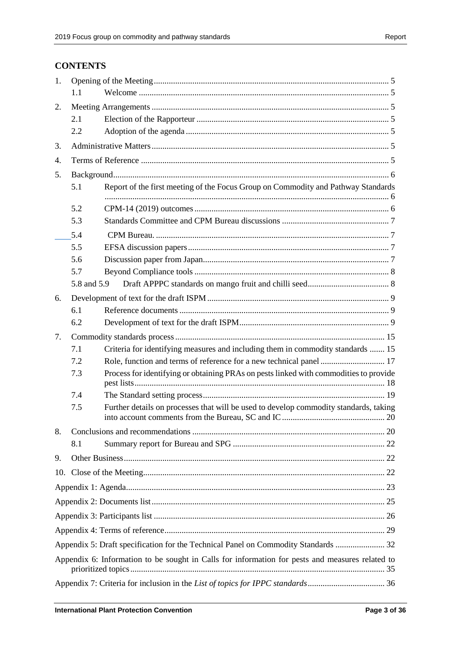## **CONTENTS**

| 1.                                                                                              |             |                                                                                       |  |  |  |  |
|-------------------------------------------------------------------------------------------------|-------------|---------------------------------------------------------------------------------------|--|--|--|--|
|                                                                                                 | 1.1         |                                                                                       |  |  |  |  |
| 2.                                                                                              |             |                                                                                       |  |  |  |  |
|                                                                                                 | 2.1         |                                                                                       |  |  |  |  |
|                                                                                                 | 2.2         |                                                                                       |  |  |  |  |
| 3.                                                                                              |             |                                                                                       |  |  |  |  |
| $\overline{4}$ .                                                                                |             |                                                                                       |  |  |  |  |
| 5.                                                                                              |             |                                                                                       |  |  |  |  |
|                                                                                                 | 5.1         | Report of the first meeting of the Focus Group on Commodity and Pathway Standards     |  |  |  |  |
|                                                                                                 | 5.2         |                                                                                       |  |  |  |  |
|                                                                                                 | 5.3         |                                                                                       |  |  |  |  |
|                                                                                                 | 5.4         |                                                                                       |  |  |  |  |
|                                                                                                 | 5.5         |                                                                                       |  |  |  |  |
|                                                                                                 | 5.6         |                                                                                       |  |  |  |  |
|                                                                                                 | 5.7         |                                                                                       |  |  |  |  |
|                                                                                                 | 5.8 and 5.9 |                                                                                       |  |  |  |  |
| 6.                                                                                              |             |                                                                                       |  |  |  |  |
|                                                                                                 | 6.1         |                                                                                       |  |  |  |  |
|                                                                                                 | 6.2         |                                                                                       |  |  |  |  |
| 7.                                                                                              |             |                                                                                       |  |  |  |  |
|                                                                                                 | 7.1         | Criteria for identifying measures and including them in commodity standards  15       |  |  |  |  |
|                                                                                                 | 7.2         |                                                                                       |  |  |  |  |
|                                                                                                 | 7.3         | Process for identifying or obtaining PRAs on pests linked with commodities to provide |  |  |  |  |
|                                                                                                 | 7.4         |                                                                                       |  |  |  |  |
|                                                                                                 | 7.5         | Further details on processes that will be used to develop commodity standards, taking |  |  |  |  |
| 8.                                                                                              |             |                                                                                       |  |  |  |  |
|                                                                                                 | 8.1         |                                                                                       |  |  |  |  |
| 9.                                                                                              |             |                                                                                       |  |  |  |  |
|                                                                                                 |             |                                                                                       |  |  |  |  |
|                                                                                                 |             |                                                                                       |  |  |  |  |
|                                                                                                 |             |                                                                                       |  |  |  |  |
|                                                                                                 |             |                                                                                       |  |  |  |  |
|                                                                                                 |             |                                                                                       |  |  |  |  |
| Appendix 5: Draft specification for the Technical Panel on Commodity Standards  32              |             |                                                                                       |  |  |  |  |
| Appendix 6: Information to be sought in Calls for information for pests and measures related to |             |                                                                                       |  |  |  |  |
|                                                                                                 |             |                                                                                       |  |  |  |  |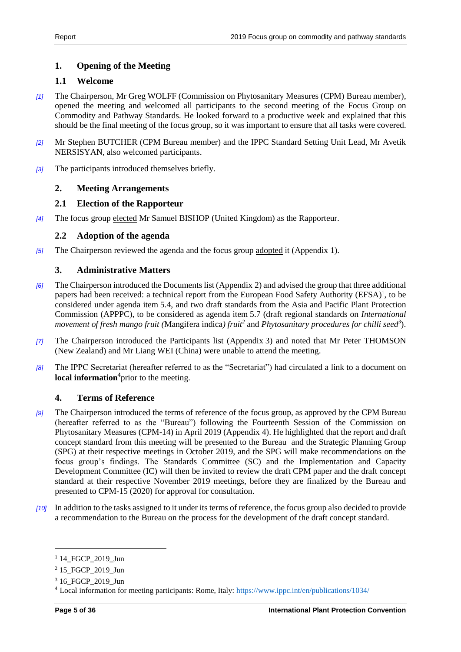## <span id="page-4-0"></span>**1. Opening of the Meeting**

## <span id="page-4-1"></span>**1.1 Welcome**

- *[1]* The Chairperson, Mr Greg WOLFF (Commission on Phytosanitary Measures (CPM) Bureau member), opened the meeting and welcomed all participants to the second meeting of the Focus Group on Commodity and Pathway Standards. He looked forward to a productive week and explained that this should be the final meeting of the focus group, so it was important to ensure that all tasks were covered.
- *[2]* Mr Stephen BUTCHER (CPM Bureau member) and the IPPC Standard Setting Unit Lead, Mr Avetik NERSISYAN, also welcomed participants.
- *[3]* The participants introduced themselves briefly.

## <span id="page-4-2"></span>**2. Meeting Arrangements**

## <span id="page-4-3"></span>**2.1 Election of the Rapporteur**

*[4]* The focus group elected Mr Samuel BISHOP (United Kingdom) as the Rapporteur.

## <span id="page-4-4"></span>**2.2 Adoption of the agenda**

*[5]* The Chairperson reviewed the agenda and the focus group adopted it (Appendix 1).

## <span id="page-4-5"></span>**3. Administrative Matters**

- *[6]* The Chairperson introduced the Documents list (Appendix 2) and advised the group that three additional papers had been received: a technical report from the European Food Safety Authority (EFSA)<sup>1</sup>, to be considered under agenda item 5.4, and two draft standards from the Asia and Pacific Plant Protection Commission (APPPC), to be considered as agenda item 5.7 (draft regional standards on *International movement of fresh mango fruit (*Mangifera indica*) fruit<sup>2</sup>* and *Phytosanitary procedures for chilli seed<sup>3</sup>* ).
- *[7]* The Chairperson introduced the Participants list (Appendix 3) and noted that Mr Peter THOMSON (New Zealand) and Mr Liang WEI (China) were unable to attend the meeting.
- *[8]* The IPPC Secretariat (hereafter referred to as the "Secretariat") had circulated a link to a document on **local information**<sup>4</sup> prior to the meeting.

## <span id="page-4-6"></span>**4. Terms of Reference**

- *[9]* The Chairperson introduced the terms of reference of the focus group, as approved by the CPM Bureau (hereafter referred to as the "Bureau") following the Fourteenth Session of the Commission on Phytosanitary Measures (CPM-14) in April 2019 (Appendix 4). He highlighted that the report and draft concept standard from this meeting will be presented to the Bureau and the Strategic Planning Group (SPG) at their respective meetings in October 2019, and the SPG will make recommendations on the focus group's findings. The Standards Committee (SC) and the Implementation and Capacity Development Committee (IC) will then be invited to review the draft CPM paper and the draft concept standard at their respective November 2019 meetings, before they are finalized by the Bureau and presented to CPM-15 (2020) for approval for consultation.
- *[10]* In addition to the tasks assigned to it under its terms of reference, the focus group also decided to provide a recommendation to the Bureau on the process for the development of the draft concept standard.

 $1$  14 FGCP 2019 Jun

<sup>2</sup> 15\_FGCP\_2019\_Jun

<sup>&</sup>lt;sup>3</sup> 16 FGCP 2019 Jun

<sup>4</sup> Local information for meeting participants: Rome, Italy:<https://www.ippc.int/en/publications/1034/>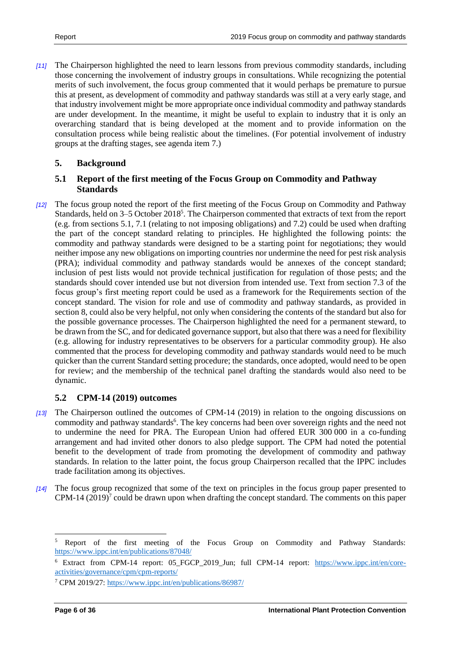*[11]* The Chairperson highlighted the need to learn lessons from previous commodity standards, including those concerning the involvement of industry groups in consultations. While recognizing the potential merits of such involvement, the focus group commented that it would perhaps be premature to pursue this at present, as development of commodity and pathway standards was still at a very early stage, and that industry involvement might be more appropriate once individual commodity and pathway standards are under development. In the meantime, it might be useful to explain to industry that it is only an overarching standard that is being developed at the moment and to provide information on the consultation process while being realistic about the timelines. (For potential involvement of industry groups at the drafting stages, see agenda item 7.)

## <span id="page-5-0"></span>**5. Background**

## <span id="page-5-1"></span>**5.1 Report of the first meeting of the Focus Group on Commodity and Pathway Standards**

*[12]* The focus group noted the report of the first meeting of the Focus Group on Commodity and Pathway Standards, held on 3–5 October 2018<sup>5</sup>. The Chairperson commented that extracts of text from the report (e.g. from sections 5.1, 7.1 (relating to not imposing obligations) and 7.2) could be used when drafting the part of the concept standard relating to principles. He highlighted the following points: the commodity and pathway standards were designed to be a starting point for negotiations; they would neither impose any new obligations on importing countries nor undermine the need for pest risk analysis (PRA); individual commodity and pathway standards would be annexes of the concept standard; inclusion of pest lists would not provide technical justification for regulation of those pests; and the standards should cover intended use but not diversion from intended use. Text from section 7.3 of the focus group's first meeting report could be used as a framework for the Requirements section of the concept standard. The vision for role and use of commodity and pathway standards, as provided in section 8, could also be very helpful, not only when considering the contents of the standard but also for the possible governance processes. The Chairperson highlighted the need for a permanent steward, to be drawn from the SC, and for dedicated governance support, but also that there was a need for flexibility (e.g. allowing for industry representatives to be observers for a particular commodity group). He also commented that the process for developing commodity and pathway standards would need to be much quicker than the current Standard setting procedure; the standards, once adopted, would need to be open for review; and the membership of the technical panel drafting the standards would also need to be dynamic.

## <span id="page-5-2"></span>**5.2 CPM-14 (2019) outcomes**

- *[13]* The Chairperson outlined the outcomes of CPM-14 (2019) in relation to the ongoing discussions on commodity and pathway standards<sup>6</sup>. The key concerns had been over sovereign rights and the need not to undermine the need for PRA. The European Union had offered EUR 300 000 in a co-funding arrangement and had invited other donors to also pledge support. The CPM had noted the potential benefit to the development of trade from promoting the development of commodity and pathway standards. In relation to the latter point, the focus group Chairperson recalled that the IPPC includes trade facilitation among its objectives.
- *[14]* The focus group recognized that some of the text on principles in the focus group paper presented to CPM-14  $(2019)^7$  could be drawn upon when drafting the concept standard. The comments on this paper

<sup>5</sup> Report of the first meeting of the Focus Group on Commodity and Pathway Standards: <https://www.ippc.int/en/publications/87048/>

<sup>6</sup> Extract from CPM-14 report: 05\_FGCP\_2019\_Jun; full CPM-14 report: [https://www.ippc.int/en/core](https://www.ippc.int/en/core-activities/governance/cpm/cpm-reports/)[activities/governance/cpm/cpm-reports/](https://www.ippc.int/en/core-activities/governance/cpm/cpm-reports/)

<sup>7</sup> CPM 2019/27:<https://www.ippc.int/en/publications/86987/>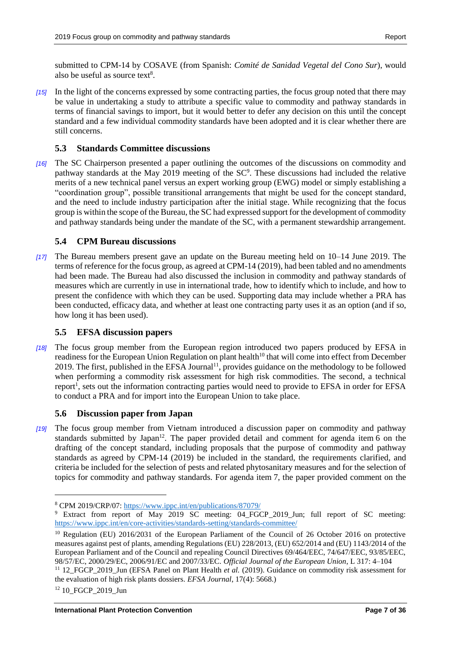submitted to CPM-14 by COSAVE (from Spanish: *Comité de Sanidad Vegetal del Cono Sur*), would also be useful as source text<sup>8</sup>.

*[15]* In the light of the concerns expressed by some contracting parties, the focus group noted that there may be value in undertaking a study to attribute a specific value to commodity and pathway standards in terms of financial savings to import, but it would better to defer any decision on this until the concept standard and a few individual commodity standards have been adopted and it is clear whether there are still concerns.

## <span id="page-6-0"></span>**5.3 Standards Committee discussions**

*[16]* The SC Chairperson presented a paper outlining the outcomes of the discussions on commodity and pathway standards at the May 2019 meeting of the  $SC<sup>9</sup>$ . These discussions had included the relative merits of a new technical panel versus an expert working group (EWG) model or simply establishing a "coordination group", possible transitional arrangements that might be used for the concept standard, and the need to include industry participation after the initial stage. While recognizing that the focus group is within the scope of the Bureau, the SC had expressed support for the development of commodity and pathway standards being under the mandate of the SC, with a permanent stewardship arrangement.

## <span id="page-6-1"></span>**5.4 CPM Bureau discussions**

*[17]* The Bureau members present gave an update on the Bureau meeting held on 10–14 June 2019. The terms of reference for the focus group, as agreed at CPM-14 (2019), had been tabled and no amendments had been made. The Bureau had also discussed the inclusion in commodity and pathway standards of measures which are currently in use in international trade, how to identify which to include, and how to present the confidence with which they can be used. Supporting data may include whether a PRA has been conducted, efficacy data, and whether at least one contracting party uses it as an option (and if so, how long it has been used).

## <span id="page-6-2"></span>**5.5 EFSA discussion papers**

*[18]* The focus group member from the European region introduced two papers produced by EFSA in readiness for the European Union Regulation on plant health<sup>10</sup> that will come into effect from December 2019. The first, published in the EFSA Journal<sup>11</sup>, provides guidance on the methodology to be followed when performing a commodity risk assessment for high risk commodities. The second, a technical report<sup>1</sup>, sets out the information contracting parties would need to provide to EFSA in order for EFSA to conduct a PRA and for import into the European Union to take place.

## <span id="page-6-3"></span>**5.6 Discussion paper from Japan**

*[19]* The focus group member from Vietnam introduced a discussion paper on commodity and pathway standards submitted by Japan<sup>12</sup>. The paper provided detail and comment for agenda item 6 on the drafting of the concept standard, including proposals that the purpose of commodity and pathway standards as agreed by CPM-14 (2019) be included in the standard, the requirements clarified, and criteria be included for the selection of pests and related phytosanitary measures and for the selection of topics for commodity and pathway standards. For agenda item 7, the paper provided comment on the

<sup>8</sup> CPM 2019/CRP/07:<https://www.ippc.int/en/publications/87079/>

<sup>9</sup> Extract from report of May 2019 SC meeting: 04\_FGCP\_2019\_Jun; full report of SC meeting: <https://www.ippc.int/en/core-activities/standards-setting/standards-committee/>

<sup>&</sup>lt;sup>10</sup> Regulation (EU) 2016/2031 of the European Parliament of the Council of 26 October 2016 on protective measures against pest of plants, amending Regulations (EU) 228/2013, (EU) 652/2014 and (EU) 1143/2014 of the European Parliament and of the Council and repealing Council Directives 69/464/EEC, 74/647/EEC, 93/85/EEC, 98/57/EC, 2000/29/EC, 2006/91/EC and 2007/33/EC. *Official Journal of the European Union*, L 317: 4–104

<sup>11</sup> 12\_FGCP\_2019\_Jun (EFSA Panel on Plant Health *et al.* (2019). Guidance on commodity risk assessment for the evaluation of high risk plants dossiers. *EFSA Journal*, 17(4): 5668.)

<sup>&</sup>lt;sup>12</sup> 10 FGCP 2019 Jun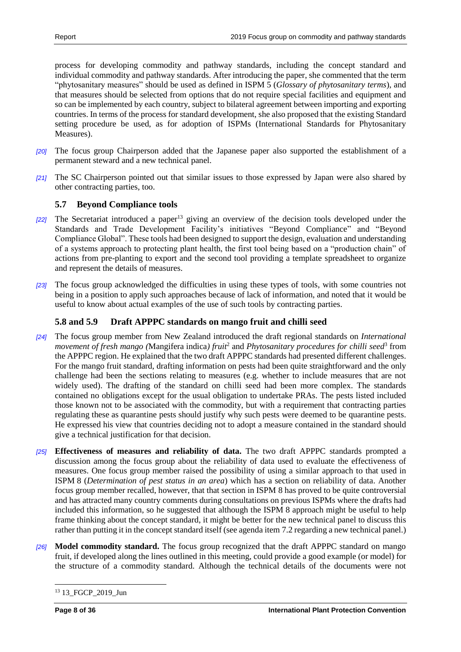process for developing commodity and pathway standards, including the concept standard and individual commodity and pathway standards. After introducing the paper, she commented that the term "phytosanitary measures" should be used as defined in ISPM 5 (*Glossary of phytosanitary terms*), and that measures should be selected from options that do not require special facilities and equipment and so can be implemented by each country, subject to bilateral agreement between importing and exporting countries. In terms of the process for standard development, she also proposed that the existing Standard setting procedure be used, as for adoption of ISPMs (International Standards for Phytosanitary Measures).

- *[20]* The focus group Chairperson added that the Japanese paper also supported the establishment of a permanent steward and a new technical panel.
- *[21]* The SC Chairperson pointed out that similar issues to those expressed by Japan were also shared by other contracting parties, too.

## <span id="page-7-0"></span>**5.7 Beyond Compliance tools**

- *[22]* The Secretariat introduced a paper<sup>13</sup> giving an overview of the decision tools developed under the Standards and Trade Development Facility's initiatives "Beyond Compliance" and "Beyond Compliance Global". These tools had been designed to support the design, evaluation and understanding of a systems approach to protecting plant health, the first tool being based on a "production chain" of actions from pre-planting to export and the second tool providing a template spreadsheet to organize and represent the details of measures.
- *[23]* The focus group acknowledged the difficulties in using these types of tools, with some countries not being in a position to apply such approaches because of lack of information, and noted that it would be useful to know about actual examples of the use of such tools by contracting parties.

## <span id="page-7-1"></span>**5.8 and 5.9 Draft APPPC standards on mango fruit and chilli seed**

- *[24]* The focus group member from New Zealand introduced the draft regional standards on *International movement of fresh mango (*Mangifera indica*) fruit* 2 and *Phytosanitary procedures for chilli seed*<sup>3</sup> from the APPPC region. He explained that the two draft APPPC standards had presented different challenges. For the mango fruit standard, drafting information on pests had been quite straightforward and the only challenge had been the sections relating to measures (e.g. whether to include measures that are not widely used). The drafting of the standard on chilli seed had been more complex. The standards contained no obligations except for the usual obligation to undertake PRAs. The pests listed included those known not to be associated with the commodity, but with a requirement that contracting parties regulating these as quarantine pests should justify why such pests were deemed to be quarantine pests. He expressed his view that countries deciding not to adopt a measure contained in the standard should give a technical justification for that decision.
- *[25]* **Effectiveness of measures and reliability of data.** The two draft APPPC standards prompted a discussion among the focus group about the reliability of data used to evaluate the effectiveness of measures. One focus group member raised the possibility of using a similar approach to that used in ISPM 8 (*Determination of pest status in an area*) which has a section on reliability of data. Another focus group member recalled, however, that that section in ISPM 8 has proved to be quite controversial and has attracted many country comments during consultations on previous ISPMs where the drafts had included this information, so he suggested that although the ISPM 8 approach might be useful to help frame thinking about the concept standard, it might be better for the new technical panel to discuss this rather than putting it in the concept standard itself (see agenda item 7.2 regarding a new technical panel.)
- *[26]* **Model commodity standard.** The focus group recognized that the draft APPPC standard on mango fruit, if developed along the lines outlined in this meeting, could provide a good example (or model) for the structure of a commodity standard. Although the technical details of the documents were not

 $\overline{a}$ <sup>13</sup> 13 FGCP 2019 Jun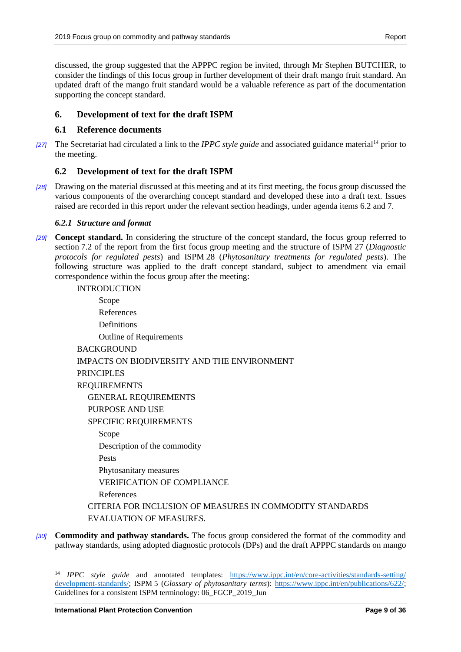discussed, the group suggested that the APPPC region be invited, through Mr Stephen BUTCHER, to consider the findings of this focus group in further development of their draft mango fruit standard. An updated draft of the mango fruit standard would be a valuable reference as part of the documentation supporting the concept standard.

## <span id="page-8-0"></span>**6. Development of text for the draft ISPM**

## <span id="page-8-1"></span>**6.1 Reference documents**

*[27]* The Secretariat had circulated a link to the *IPPC style guide* and associated guidance material<sup>14</sup> prior to the meeting.

## <span id="page-8-2"></span>**6.2 Development of text for the draft ISPM**

*[28]* Drawing on the material discussed at this meeting and at its first meeting, the focus group discussed the various components of the overarching concept standard and developed these into a draft text. Issues raised are recorded in this report under the relevant section headings, under agenda items 6.2 and 7.

## *6.2.1 Structure and format*

*[29]* **Concept standard.** In considering the structure of the concept standard, the focus group referred to section 7.2 of the report from the first focus group meeting and the structure of ISPM 27 (*Diagnostic protocols for regulated pests*) and ISPM 28 (*Phytosanitary treatments for regulated pests*). The following structure was applied to the draft concept standard, subject to amendment via email correspondence within the focus group after the meeting:

| <b>INTRODUCTION</b>                                      |
|----------------------------------------------------------|
| Scope                                                    |
| References                                               |
| Definitions                                              |
| <b>Outline of Requirements</b>                           |
| <b>BACKGROUND</b>                                        |
| IMPACTS ON BIODIVERSITY AND THE ENVIRONMENT              |
| <b>PRINCIPLES</b>                                        |
| <b>REQUIREMENTS</b>                                      |
| <b>GENERAL REQUIREMENTS</b>                              |
| <b>PURPOSE AND USE</b>                                   |
| <b>SPECIFIC REQUIREMENTS</b>                             |
| Scope                                                    |
| Description of the commodity                             |
| Pests                                                    |
| Phytosanitary measures                                   |
| <b>VERIFICATION OF COMPLIANCE</b>                        |
| References                                               |
| CITERIA FOR INCLUSION OF MEASURES IN COMMODITY STANDARDS |
| <b>EVALUATION OF MEASURES.</b>                           |
|                                                          |

*[30]* **Commodity and pathway standards.** The focus group considered the format of the commodity and pathway standards, using adopted diagnostic protocols (DPs) and the draft APPPC standards on mango

<sup>&</sup>lt;sup>14</sup> *IPPC* style guide and annotated templates: [https://www.ippc.int/en/core-activities/standards-setting/](https://www.ippc.int/en/core-activities/standards-setting/development-standards/) [development-standards/;](https://www.ippc.int/en/core-activities/standards-setting/development-standards/) ISPM 5 (*Glossary of phytosanitary terms*): https://www.ippc.int/en/publications/622/; Guidelines for a consistent ISPM terminology: 06\_FGCP\_2019\_Jun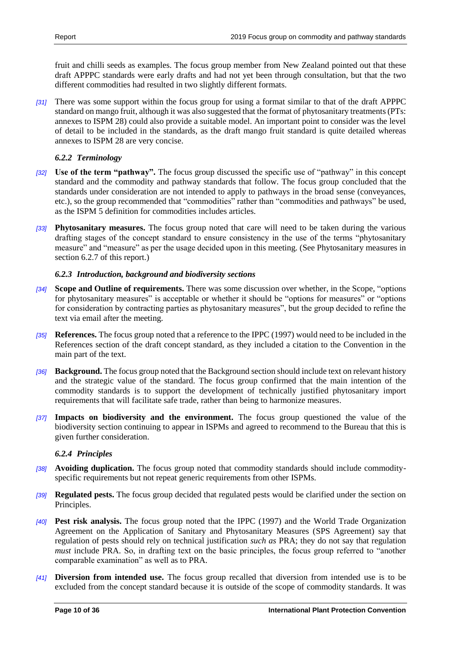fruit and chilli seeds as examples. The focus group member from New Zealand pointed out that these draft APPPC standards were early drafts and had not yet been through consultation, but that the two different commodities had resulted in two slightly different formats.

*[31]* There was some support within the focus group for using a format similar to that of the draft APPPC standard on mango fruit, although it was also suggested that the format of phytosanitary treatments (PTs: annexes to ISPM 28) could also provide a suitable model. An important point to consider was the level of detail to be included in the standards, as the draft mango fruit standard is quite detailed whereas annexes to ISPM 28 are very concise.

## *6.2.2 Terminology*

- *[32]* **Use of the term "pathway".** The focus group discussed the specific use of "pathway" in this concept standard and the commodity and pathway standards that follow. The focus group concluded that the standards under consideration are not intended to apply to pathways in the broad sense (conveyances, etc.), so the group recommended that "commodities" rather than "commodities and pathways" be used, as the ISPM 5 definition for commodities includes articles.
- *[33]* **Phytosanitary measures.** The focus group noted that care will need to be taken during the various drafting stages of the concept standard to ensure consistency in the use of the terms "phytosanitary measure" and "measure" as per the usage decided upon in this meeting. (See Phytosanitary measures in section 6.2.7 of this report.)

## *6.2.3 Introduction, background and biodiversity sections*

- *[34]* **Scope and Outline of requirements.** There was some discussion over whether, in the Scope, "options for phytosanitary measures" is acceptable or whether it should be "options for measures" or "options for consideration by contracting parties as phytosanitary measures", but the group decided to refine the text via email after the meeting.
- *[35]* **References.** The focus group noted that a reference to the IPPC (1997) would need to be included in the References section of the draft concept standard, as they included a citation to the Convention in the main part of the text.
- *[36]* **Background.** The focus group noted that the Background section should include text on relevant history and the strategic value of the standard. The focus group confirmed that the main intention of the commodity standards is to support the development of technically justified phytosanitary import requirements that will facilitate safe trade, rather than being to harmonize measures.
- *[37]* **Impacts on biodiversity and the environment.** The focus group questioned the value of the biodiversity section continuing to appear in ISPMs and agreed to recommend to the Bureau that this is given further consideration.

## *6.2.4 Principles*

- *[38]* **Avoiding duplication.** The focus group noted that commodity standards should include commodityspecific requirements but not repeat generic requirements from other ISPMs.
- *[39]* **Regulated pests.** The focus group decided that regulated pests would be clarified under the section on Principles.
- *[40]* **Pest risk analysis.** The focus group noted that the IPPC (1997) and the World Trade Organization Agreement on the Application of Sanitary and Phytosanitary Measures (SPS Agreement) say that regulation of pests should rely on technical justification *such as* PRA; they do not say that regulation *must* include PRA. So, in drafting text on the basic principles, the focus group referred to "another comparable examination" as well as to PRA.
- *[41]* **Diversion from intended use.** The focus group recalled that diversion from intended use is to be excluded from the concept standard because it is outside of the scope of commodity standards. It was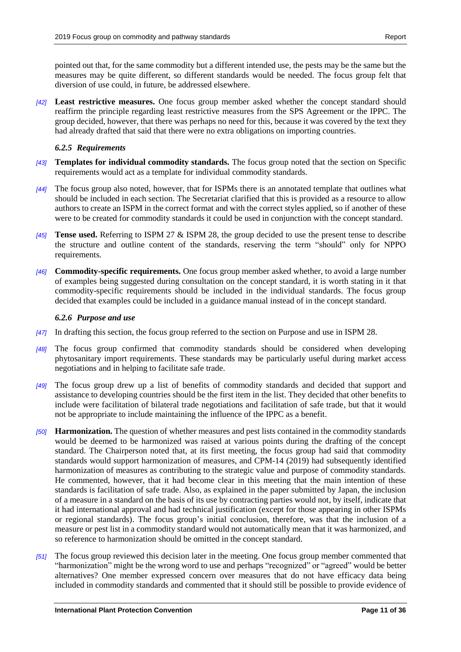pointed out that, for the same commodity but a different intended use, the pests may be the same but the measures may be quite different, so different standards would be needed. The focus group felt that diversion of use could, in future, be addressed elsewhere.

*[42]* **Least restrictive measures.** One focus group member asked whether the concept standard should reaffirm the principle regarding least restrictive measures from the SPS Agreement or the IPPC. The group decided, however, that there was perhaps no need for this, because it was covered by the text they had already drafted that said that there were no extra obligations on importing countries.

## *6.2.5 Requirements*

- *[43]* **Templates for individual commodity standards.** The focus group noted that the section on Specific requirements would act as a template for individual commodity standards.
- *[44]* The focus group also noted, however, that for ISPMs there is an annotated template that outlines what should be included in each section. The Secretariat clarified that this is provided as a resource to allow authors to create an ISPM in the correct format and with the correct styles applied, so if another of these were to be created for commodity standards it could be used in conjunction with the concept standard.
- *[45]* **Tense used.** Referring to ISPM 27 & ISPM 28, the group decided to use the present tense to describe the structure and outline content of the standards, reserving the term "should" only for NPPO requirements.
- *[46]* **Commodity-specific requirements.** One focus group member asked whether, to avoid a large number of examples being suggested during consultation on the concept standard, it is worth stating in it that commodity-specific requirements should be included in the individual standards. The focus group decided that examples could be included in a guidance manual instead of in the concept standard.

## *6.2.6 Purpose and use*

- *[47]* In drafting this section, the focus group referred to the section on Purpose and use in ISPM 28.
- *[48]* The focus group confirmed that commodity standards should be considered when developing phytosanitary import requirements. These standards may be particularly useful during market access negotiations and in helping to facilitate safe trade.
- *[49]* The focus group drew up a list of benefits of commodity standards and decided that support and assistance to developing countries should be the first item in the list. They decided that other benefits to include were facilitation of bilateral trade negotiations and facilitation of safe trade, but that it would not be appropriate to include maintaining the influence of the IPPC as a benefit.
- *[50]* **Harmonization.** The question of whether measures and pest lists contained in the commodity standards would be deemed to be harmonized was raised at various points during the drafting of the concept standard. The Chairperson noted that, at its first meeting, the focus group had said that commodity standards would support harmonization of measures, and CPM-14 (2019) had subsequently identified harmonization of measures as contributing to the strategic value and purpose of commodity standards. He commented, however, that it had become clear in this meeting that the main intention of these standards is facilitation of safe trade. Also, as explained in the paper submitted by Japan, the inclusion of a measure in a standard on the basis of its use by contracting parties would not, by itself, indicate that it had international approval and had technical justification (except for those appearing in other ISPMs or regional standards). The focus group's initial conclusion, therefore, was that the inclusion of a measure or pest list in a commodity standard would not automatically mean that it was harmonized, and so reference to harmonization should be omitted in the concept standard.
- *[51]* The focus group reviewed this decision later in the meeting. One focus group member commented that "harmonization" might be the wrong word to use and perhaps "recognized" or "agreed" would be better alternatives? One member expressed concern over measures that do not have efficacy data being included in commodity standards and commented that it should still be possible to provide evidence of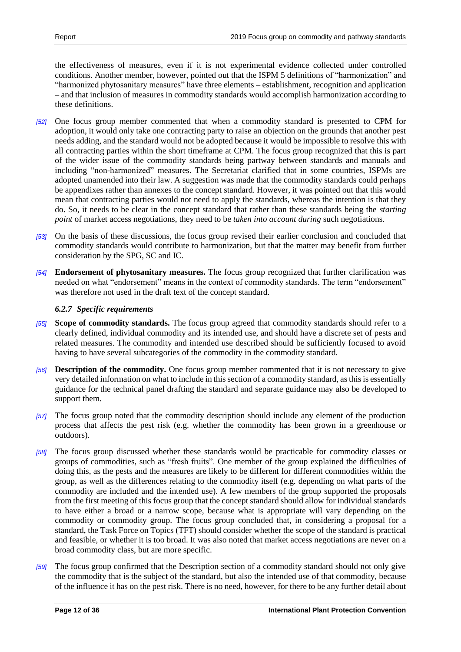the effectiveness of measures, even if it is not experimental evidence collected under controlled conditions. Another member, however, pointed out that the ISPM 5 definitions of "harmonization" and "harmonized phytosanitary measures" have three elements – establishment, recognition and application – and that inclusion of measures in commodity standards would accomplish harmonization according to these definitions.

- *[52]* One focus group member commented that when a commodity standard is presented to CPM for adoption, it would only take one contracting party to raise an objection on the grounds that another pest needs adding, and the standard would not be adopted because it would be impossible to resolve this with all contracting parties within the short timeframe at CPM. The focus group recognized that this is part of the wider issue of the commodity standards being partway between standards and manuals and including "non-harmonized" measures. The Secretariat clarified that in some countries, ISPMs are adopted unamended into their law. A suggestion was made that the commodity standards could perhaps be appendixes rather than annexes to the concept standard. However, it was pointed out that this would mean that contracting parties would not need to apply the standards, whereas the intention is that they do. So, it needs to be clear in the concept standard that rather than these standards being the *starting point* of market access negotiations, they need to be *taken into account during* such negotiations.
- *[53]* On the basis of these discussions, the focus group revised their earlier conclusion and concluded that commodity standards would contribute to harmonization, but that the matter may benefit from further consideration by the SPG, SC and IC.
- *[54]* **Endorsement of phytosanitary measures.** The focus group recognized that further clarification was needed on what "endorsement" means in the context of commodity standards. The term "endorsement" was therefore not used in the draft text of the concept standard.

## *6.2.7 Specific requirements*

- *[55]* **Scope of commodity standards.** The focus group agreed that commodity standards should refer to a clearly defined, individual commodity and its intended use, and should have a discrete set of pests and related measures. The commodity and intended use described should be sufficiently focused to avoid having to have several subcategories of the commodity in the commodity standard.
- *[56]* **Description of the commodity.** One focus group member commented that it is not necessary to give very detailed information on what to include in this section of a commodity standard, as this is essentially guidance for the technical panel drafting the standard and separate guidance may also be developed to support them.
- *[57]* The focus group noted that the commodity description should include any element of the production process that affects the pest risk (e.g. whether the commodity has been grown in a greenhouse or outdoors).
- *[58]* The focus group discussed whether these standards would be practicable for commodity classes or groups of commodities, such as "fresh fruits". One member of the group explained the difficulties of doing this, as the pests and the measures are likely to be different for different commodities within the group, as well as the differences relating to the commodity itself (e.g. depending on what parts of the commodity are included and the intended use). A few members of the group supported the proposals from the first meeting of this focus group that the concept standard should allow for individual standards to have either a broad or a narrow scope, because what is appropriate will vary depending on the commodity or commodity group. The focus group concluded that, in considering a proposal for a standard, the Task Force on Topics (TFT) should consider whether the scope of the standard is practical and feasible, or whether it is too broad. It was also noted that market access negotiations are never on a broad commodity class, but are more specific.
- *[59]* The focus group confirmed that the Description section of a commodity standard should not only give the commodity that is the subject of the standard, but also the intended use of that commodity, because of the influence it has on the pest risk. There is no need, however, for there to be any further detail about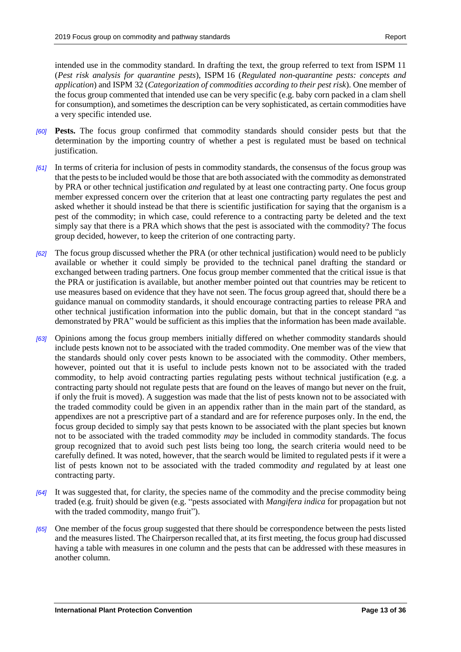intended use in the commodity standard. In drafting the text, the group referred to text from ISPM 11 (*Pest risk analysis for quarantine pests*), ISPM 16 (*Regulated non-quarantine pests: concepts and application*) and ISPM 32 (*Categorization of commodities according to their pest risk*). One member of the focus group commented that intended use can be very specific (e.g. baby corn packed in a clam shell for consumption), and sometimes the description can be very sophisticated, as certain commodities have a very specific intended use.

- *[60]* **Pests.** The focus group confirmed that commodity standards should consider pests but that the determination by the importing country of whether a pest is regulated must be based on technical justification.
- *[61]* In terms of criteria for inclusion of pests in commodity standards, the consensus of the focus group was that the pests to be included would be those that are both associated with the commodity as demonstrated by PRA or other technical justification *and* regulated by at least one contracting party. One focus group member expressed concern over the criterion that at least one contracting party regulates the pest and asked whether it should instead be that there is scientific justification for saying that the organism is a pest of the commodity; in which case, could reference to a contracting party be deleted and the text simply say that there is a PRA which shows that the pest is associated with the commodity? The focus group decided, however, to keep the criterion of one contracting party.
- *[62]* The focus group discussed whether the PRA (or other technical justification) would need to be publicly available or whether it could simply be provided to the technical panel drafting the standard or exchanged between trading partners. One focus group member commented that the critical issue is that the PRA or justification is available, but another member pointed out that countries may be reticent to use measures based on evidence that they have not seen. The focus group agreed that, should there be a guidance manual on commodity standards, it should encourage contracting parties to release PRA and other technical justification information into the public domain, but that in the concept standard "as demonstrated by PRA" would be sufficient as this implies that the information has been made available.
- *[63]* Opinions among the focus group members initially differed on whether commodity standards should include pests known not to be associated with the traded commodity. One member was of the view that the standards should only cover pests known to be associated with the commodity. Other members, however, pointed out that it is useful to include pests known not to be associated with the traded commodity, to help avoid contracting parties regulating pests without technical justification (e.g. a contracting party should not regulate pests that are found on the leaves of mango but never on the fruit, if only the fruit is moved). A suggestion was made that the list of pests known not to be associated with the traded commodity could be given in an appendix rather than in the main part of the standard, as appendixes are not a prescriptive part of a standard and are for reference purposes only. In the end, the focus group decided to simply say that pests known to be associated with the plant species but known not to be associated with the traded commodity *may* be included in commodity standards. The focus group recognized that to avoid such pest lists being too long, the search criteria would need to be carefully defined. It was noted, however, that the search would be limited to regulated pests if it were a list of pests known not to be associated with the traded commodity *and* regulated by at least one contracting party.
- *[64]* It was suggested that, for clarity, the species name of the commodity and the precise commodity being traded (e.g. fruit) should be given (e.g. "pests associated with *Mangifera indica* for propagation but not with the traded commodity, mango fruit").
- *[65]* One member of the focus group suggested that there should be correspondence between the pests listed and the measures listed. The Chairperson recalled that, at its first meeting, the focus group had discussed having a table with measures in one column and the pests that can be addressed with these measures in another column.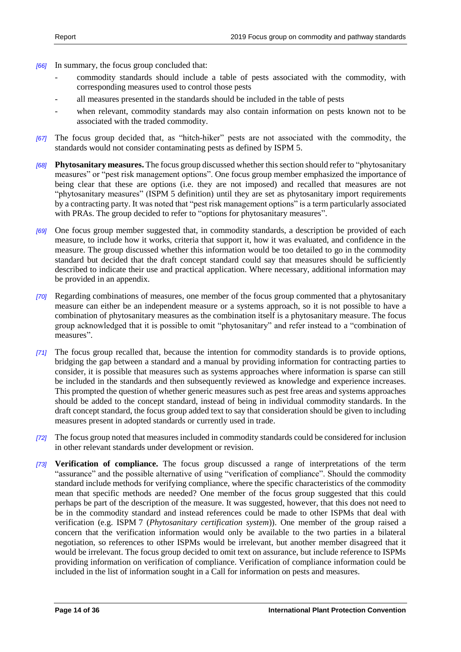- *[66]* In summary, the focus group concluded that:
	- commodity standards should include a table of pests associated with the commodity, with corresponding measures used to control those pests
	- all measures presented in the standards should be included in the table of pests
	- when relevant, commodity standards may also contain information on pests known not to be associated with the traded commodity.
- *[67]* The focus group decided that, as "hitch-hiker" pests are not associated with the commodity, the standards would not consider contaminating pests as defined by ISPM 5.
- *[68]* **Phytosanitary measures.** The focus group discussed whether this section should refer to "phytosanitary measures" or "pest risk management options". One focus group member emphasized the importance of being clear that these are options (i.e. they are not imposed) and recalled that measures are not "phytosanitary measures" (ISPM 5 definition) until they are set as phytosanitary import requirements by a contracting party. It was noted that "pest risk management options" is a term particularly associated with PRAs. The group decided to refer to "options for phytosanitary measures".
- *[69]* One focus group member suggested that, in commodity standards, a description be provided of each measure, to include how it works, criteria that support it, how it was evaluated, and confidence in the measure. The group discussed whether this information would be too detailed to go in the commodity standard but decided that the draft concept standard could say that measures should be sufficiently described to indicate their use and practical application. Where necessary, additional information may be provided in an appendix.
- *[70]* Regarding combinations of measures, one member of the focus group commented that a phytosanitary measure can either be an independent measure or a systems approach, so it is not possible to have a combination of phytosanitary measures as the combination itself is a phytosanitary measure. The focus group acknowledged that it is possible to omit "phytosanitary" and refer instead to a "combination of measures".
- *[71]* The focus group recalled that, because the intention for commodity standards is to provide options, bridging the gap between a standard and a manual by providing information for contracting parties to consider, it is possible that measures such as systems approaches where information is sparse can still be included in the standards and then subsequently reviewed as knowledge and experience increases. This prompted the question of whether generic measures such as pest free areas and systems approaches should be added to the concept standard, instead of being in individual commodity standards. In the draft concept standard, the focus group added text to say that consideration should be given to including measures present in adopted standards or currently used in trade.
- *[72]* The focus group noted that measures included in commodity standards could be considered for inclusion in other relevant standards under development or revision.
- *[73]* **Verification of compliance.** The focus group discussed a range of interpretations of the term "assurance" and the possible alternative of using "verification of compliance". Should the commodity standard include methods for verifying compliance, where the specific characteristics of the commodity mean that specific methods are needed? One member of the focus group suggested that this could perhaps be part of the description of the measure. It was suggested, however, that this does not need to be in the commodity standard and instead references could be made to other ISPMs that deal with verification (e.g. ISPM 7 (*Phytosanitary certification system*)). One member of the group raised a concern that the verification information would only be available to the two parties in a bilateral negotiation, so references to other ISPMs would be irrelevant, but another member disagreed that it would be irrelevant. The focus group decided to omit text on assurance, but include reference to ISPMs providing information on verification of compliance. Verification of compliance information could be included in the list of information sought in a Call for information on pests and measures.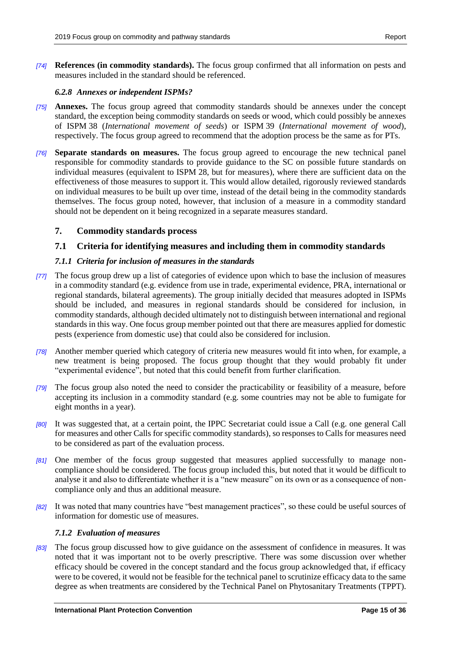*[74]* **References (in commodity standards).** The focus group confirmed that all information on pests and measures included in the standard should be referenced.

## *6.2.8 Annexes or independent ISPMs?*

- *[75]* **Annexes.** The focus group agreed that commodity standards should be annexes under the concept standard, the exception being commodity standards on seeds or wood, which could possibly be annexes of ISPM 38 (*International movement of seeds*) or ISPM 39 (*International movement of wood*), respectively. The focus group agreed to recommend that the adoption process be the same as for PTs.
- *[76]* **Separate standards on measures.** The focus group agreed to encourage the new technical panel responsible for commodity standards to provide guidance to the SC on possible future standards on individual measures (equivalent to ISPM 28, but for measures), where there are sufficient data on the effectiveness of those measures to support it. This would allow detailed, rigorously reviewed standards on individual measures to be built up over time, instead of the detail being in the commodity standards themselves. The focus group noted, however, that inclusion of a measure in a commodity standard should not be dependent on it being recognized in a separate measures standard.

## <span id="page-14-0"></span>**7. Commodity standards process**

## <span id="page-14-1"></span>**7.1 Criteria for identifying measures and including them in commodity standards**

## *7.1.1 Criteria for inclusion of measures in the standards*

- *[77]* The focus group drew up a list of categories of evidence upon which to base the inclusion of measures in a commodity standard (e.g. evidence from use in trade, experimental evidence, PRA, international or regional standards, bilateral agreements). The group initially decided that measures adopted in ISPMs should be included, and measures in regional standards should be considered for inclusion, in commodity standards, although decided ultimately not to distinguish between international and regional standards in this way. One focus group member pointed out that there are measures applied for domestic pests (experience from domestic use) that could also be considered for inclusion.
- *[78]* Another member queried which category of criteria new measures would fit into when, for example, a new treatment is being proposed. The focus group thought that they would probably fit under "experimental evidence", but noted that this could benefit from further clarification.
- *[79]* The focus group also noted the need to consider the practicability or feasibility of a measure, before accepting its inclusion in a commodity standard (e.g. some countries may not be able to fumigate for eight months in a year).
- *[80]* It was suggested that, at a certain point, the IPPC Secretariat could issue a Call (e.g. one general Call for measures and other Calls for specific commodity standards), so responses to Calls for measures need to be considered as part of the evaluation process.
- *[81]* One member of the focus group suggested that measures applied successfully to manage noncompliance should be considered. The focus group included this, but noted that it would be difficult to analyse it and also to differentiate whether it is a "new measure" on its own or as a consequence of noncompliance only and thus an additional measure.
- *[82]* It was noted that many countries have "best management practices", so these could be useful sources of information for domestic use of measures.

## *7.1.2 Evaluation of measures*

*[83]* The focus group discussed how to give guidance on the assessment of confidence in measures. It was noted that it was important not to be overly prescriptive. There was some discussion over whether efficacy should be covered in the concept standard and the focus group acknowledged that, if efficacy were to be covered, it would not be feasible for the technical panel to scrutinize efficacy data to the same degree as when treatments are considered by the Technical Panel on Phytosanitary Treatments (TPPT).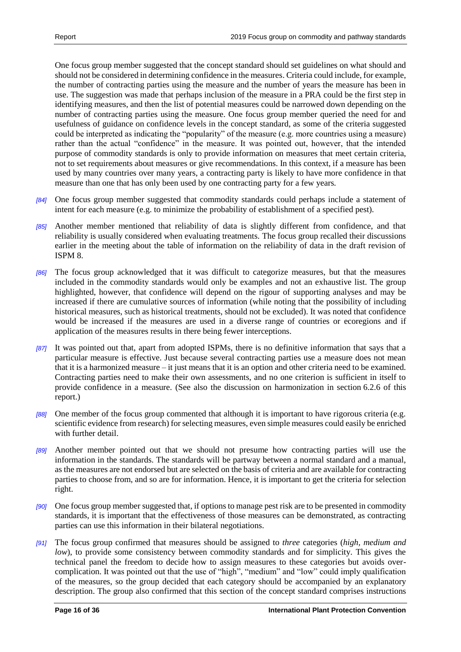One focus group member suggested that the concept standard should set guidelines on what should and should not be considered in determining confidence in the measures. Criteria could include, for example, the number of contracting parties using the measure and the number of years the measure has been in use. The suggestion was made that perhaps inclusion of the measure in a PRA could be the first step in identifying measures, and then the list of potential measures could be narrowed down depending on the number of contracting parties using the measure. One focus group member queried the need for and usefulness of guidance on confidence levels in the concept standard, as some of the criteria suggested could be interpreted as indicating the "popularity" of the measure (e.g. more countries using a measure) rather than the actual "confidence" in the measure. It was pointed out, however, that the intended purpose of commodity standards is only to provide information on measures that meet certain criteria, not to set requirements about measures or give recommendations. In this context, if a measure has been used by many countries over many years, a contracting party is likely to have more confidence in that measure than one that has only been used by one contracting party for a few years.

- *[84]* One focus group member suggested that commodity standards could perhaps include a statement of intent for each measure (e.g. to minimize the probability of establishment of a specified pest).
- *[85]* Another member mentioned that reliability of data is slightly different from confidence, and that reliability is usually considered when evaluating treatments. The focus group recalled their discussions earlier in the meeting about the table of information on the reliability of data in the draft revision of ISPM 8.
- *[86]* The focus group acknowledged that it was difficult to categorize measures, but that the measures included in the commodity standards would only be examples and not an exhaustive list. The group highlighted, however, that confidence will depend on the rigour of supporting analyses and may be increased if there are cumulative sources of information (while noting that the possibility of including historical measures, such as historical treatments, should not be excluded). It was noted that confidence would be increased if the measures are used in a diverse range of countries or ecoregions and if application of the measures results in there being fewer interceptions.
- *[87]* It was pointed out that, apart from adopted ISPMs, there is no definitive information that says that a particular measure is effective. Just because several contracting parties use a measure does not mean that it is a harmonized measure – it just means that it is an option and other criteria need to be examined. Contracting parties need to make their own assessments, and no one criterion is sufficient in itself to provide confidence in a measure. (See also the discussion on harmonization in section 6.2.6 of this report.)
- *[88]* One member of the focus group commented that although it is important to have rigorous criteria (e.g. scientific evidence from research) for selecting measures, even simple measures could easily be enriched with further detail.
- *[89]* Another member pointed out that we should not presume how contracting parties will use the information in the standards. The standards will be partway between a normal standard and a manual, as the measures are not endorsed but are selected on the basis of criteria and are available for contracting parties to choose from, and so are for information. Hence, it is important to get the criteria for selection right.
- *[90]* One focus group member suggested that, if options to manage pest risk are to be presented in commodity standards, it is important that the effectiveness of those measures can be demonstrated, as contracting parties can use this information in their bilateral negotiations.
- *[91]* The focus group confirmed that measures should be assigned to *three* categories (*high, medium and low*), to provide some consistency between commodity standards and for simplicity. This gives the technical panel the freedom to decide how to assign measures to these categories but avoids overcomplication. It was pointed out that the use of "high", "medium" and "low" could imply qualification of the measures, so the group decided that each category should be accompanied by an explanatory description. The group also confirmed that this section of the concept standard comprises instructions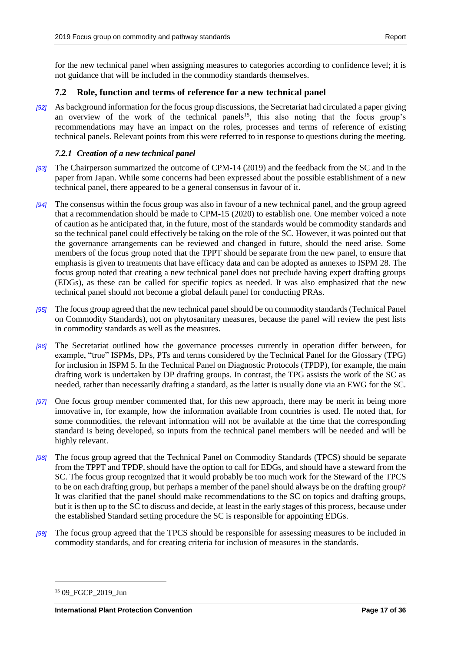for the new technical panel when assigning measures to categories according to confidence level; it is not guidance that will be included in the commodity standards themselves.

## <span id="page-16-0"></span>**7.2 Role, function and terms of reference for a new technical panel**

*[92]* As background information for the focus group discussions, the Secretariat had circulated a paper giving an overview of the work of the technical panels<sup>15</sup>, this also noting that the focus group's recommendations may have an impact on the roles, processes and terms of reference of existing technical panels. Relevant points from this were referred to in response to questions during the meeting.

## *7.2.1 Creation of a new technical panel*

- *[93]* The Chairperson summarized the outcome of CPM-14 (2019) and the feedback from the SC and in the paper from Japan. While some concerns had been expressed about the possible establishment of a new technical panel, there appeared to be a general consensus in favour of it.
- *[94]* The consensus within the focus group was also in favour of a new technical panel, and the group agreed that a recommendation should be made to CPM-15 (2020) to establish one. One member voiced a note of caution as he anticipated that, in the future, most of the standards would be commodity standards and so the technical panel could effectively be taking on the role of the SC. However, it was pointed out that the governance arrangements can be reviewed and changed in future, should the need arise. Some members of the focus group noted that the TPPT should be separate from the new panel, to ensure that emphasis is given to treatments that have efficacy data and can be adopted as annexes to ISPM 28. The focus group noted that creating a new technical panel does not preclude having expert drafting groups (EDGs), as these can be called for specific topics as needed. It was also emphasized that the new technical panel should not become a global default panel for conducting PRAs.
- *[95]* The focus group agreed that the new technical panel should be on commodity standards (Technical Panel on Commodity Standards), not on phytosanitary measures, because the panel will review the pest lists in commodity standards as well as the measures.
- *[96]* The Secretariat outlined how the governance processes currently in operation differ between, for example, "true" ISPMs, DPs, PTs and terms considered by the Technical Panel for the Glossary (TPG) for inclusion in ISPM 5. In the Technical Panel on Diagnostic Protocols (TPDP), for example, the main drafting work is undertaken by DP drafting groups. In contrast, the TPG assists the work of the SC as needed, rather than necessarily drafting a standard, as the latter is usually done via an EWG for the SC.
- *[97]* One focus group member commented that, for this new approach, there may be merit in being more innovative in, for example, how the information available from countries is used. He noted that, for some commodities, the relevant information will not be available at the time that the corresponding standard is being developed, so inputs from the technical panel members will be needed and will be highly relevant.
- *[98]* The focus group agreed that the Technical Panel on Commodity Standards (TPCS) should be separate from the TPPT and TPDP, should have the option to call for EDGs, and should have a steward from the SC. The focus group recognized that it would probably be too much work for the Steward of the TPCS to be on each drafting group, but perhaps a member of the panel should always be on the drafting group? It was clarified that the panel should make recommendations to the SC on topics and drafting groups, but it is then up to the SC to discuss and decide, at least in the early stages of this process, because under the established Standard setting procedure the SC is responsible for appointing EDGs.
- *[99]* The focus group agreed that the TPCS should be responsible for assessing measures to be included in commodity standards, and for creating criteria for inclusion of measures in the standards.

 $\overline{a}$ 

<sup>&</sup>lt;sup>15</sup> 09 FGCP 2019 Jun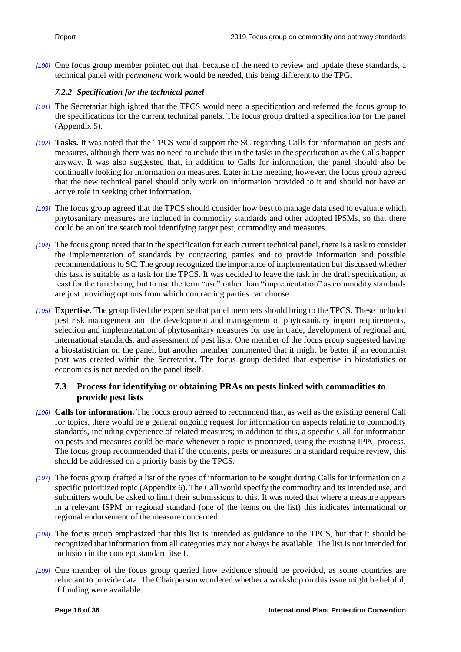*[100]* One focus group member pointed out that, because of the need to review and update these standards, a technical panel with *permanent* work would be needed, this being different to the TPG.

## *7.2.2 Specification for the technical panel*

- *[101]* The Secretariat highlighted that the TPCS would need a specification and referred the focus group to the specifications for the current technical panels. The focus group drafted a specification for the panel (Appendix 5).
- *[102]* **Tasks.** It was noted that the TPCS would support the SC regarding Calls for information on pests and measures, although there was no need to include this in the tasks in the specification as the Calls happen anyway. It was also suggested that, in addition to Calls for information, the panel should also be continually looking for information on measures. Later in the meeting, however, the focus group agreed that the new technical panel should only work on information provided to it and should not have an active role in seeking other information.
- *[103]* The focus group agreed that the TPCS should consider how best to manage data used to evaluate which phytosanitary measures are included in commodity standards and other adopted IPSMs, so that there could be an online search tool identifying target pest, commodity and measures.
- *[104]* The focus group noted that in the specification for each current technical panel, there is a task to consider the implementation of standards by contracting parties and to provide information and possible recommendations to SC. The group recognized the importance of implementation but discussed whether this task is suitable as a task for the TPCS. It was decided to leave the task in the draft specification, at least for the time being, but to use the term "use" rather than "implementation" as commodity standards are just providing options from which contracting parties can choose.
- *[105]* **Expertise.** The group listed the expertise that panel members should bring to the TPCS. These included pest risk management and the development and management of phytosanitary import requirements, selection and implementation of phytosanitary measures for use in trade, development of regional and international standards, and assessment of pest lists. One member of the focus group suggested having a biostatistician on the panel, but another member commented that it might be better if an economist post was created within the Secretariat. The focus group decided that expertise in biostatistics or economics is not needed on the panel itself.

## <span id="page-17-0"></span>**7.3 Process for identifying or obtaining PRAs on pests linked with commodities to provide pest lists**

- *[106]* **Calls for information.** The focus group agreed to recommend that, as well as the existing general Call for topics, there would be a general ongoing request for information on aspects relating to commodity standards, including experience of related measures; in addition to this, a specific Call for information on pests and measures could be made whenever a topic is prioritized, using the existing IPPC process. The focus group recommended that if the contents, pests or measures in a standard require review, this should be addressed on a priority basis by the TPCS.
- *[107]* The focus group drafted a list of the types of information to be sought during Calls for information on a specific prioritized topic (Appendix 6). The Call would specify the commodity and its intended use, and submitters would be asked to limit their submissions to this. It was noted that where a measure appears in a relevant ISPM or regional standard (one of the items on the list) this indicates international or regional endorsement of the measure concerned.
- *[108]* The focus group emphasized that this list is intended as guidance to the TPCS, but that it should be recognized that information from all categories may not always be available. The list is not intended for inclusion in the concept standard itself.
- *[109]* One member of the focus group queried how evidence should be provided, as some countries are reluctant to provide data. The Chairperson wondered whether a workshop on this issue might be helpful, if funding were available.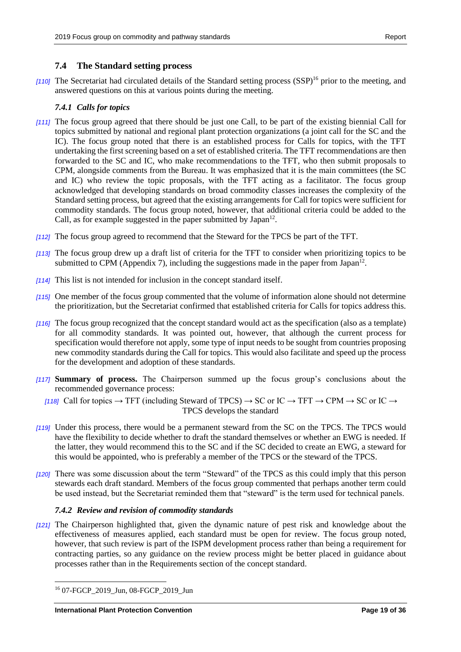## <span id="page-18-0"></span>**7.4 The Standard setting process**

*[110]* The Secretariat had circulated details of the Standard setting process (SSP)<sup>16</sup> prior to the meeting, and answered questions on this at various points during the meeting.

## *7.4.1 Calls for topics*

- *[111]* The focus group agreed that there should be just one Call, to be part of the existing biennial Call for topics submitted by national and regional plant protection organizations (a joint call for the SC and the IC). The focus group noted that there is an established process for Calls for topics, with the TFT undertaking the first screening based on a set of established criteria. The TFT recommendations are then forwarded to the SC and IC, who make recommendations to the TFT, who then submit proposals to CPM, alongside comments from the Bureau. It was emphasized that it is the main committees (the SC and IC) who review the topic proposals, with the TFT acting as a facilitator. The focus group acknowledged that developing standards on broad commodity classes increases the complexity of the Standard setting process, but agreed that the existing arrangements for Call for topics were sufficient for commodity standards. The focus group noted, however, that additional criteria could be added to the Call, as for example suggested in the paper submitted by Japan<sup>12</sup>.
- *[112]* The focus group agreed to recommend that the Steward for the TPCS be part of the TFT.
- *[113]* The focus group drew up a draft list of criteria for the TFT to consider when prioritizing topics to be submitted to CPM (Appendix 7), including the suggestions made in the paper from Japan<sup>12</sup>.
- *[114]* This list is not intended for inclusion in the concept standard itself.
- *[115]* One member of the focus group commented that the volume of information alone should not determine the prioritization, but the Secretariat confirmed that established criteria for Calls for topics address this.
- *[116]* The focus group recognized that the concept standard would act as the specification (also as a template) for all commodity standards. It was pointed out, however, that although the current process for specification would therefore not apply, some type of input needs to be sought from countries proposing new commodity standards during the Call for topics. This would also facilitate and speed up the process for the development and adoption of these standards.
- *[117]* **Summary of process.** The Chairperson summed up the focus group's conclusions about the recommended governance process:

*[118]* Call for topics  $\rightarrow$  TFT (including Steward of TPCS)  $\rightarrow$  SC or IC  $\rightarrow$  TFT  $\rightarrow$  CPM  $\rightarrow$  SC or IC  $\rightarrow$ TPCS develops the standard

- *[119]* Under this process, there would be a permanent steward from the SC on the TPCS. The TPCS would have the flexibility to decide whether to draft the standard themselves or whether an EWG is needed. If the latter, they would recommend this to the SC and if the SC decided to create an EWG, a steward for this would be appointed, who is preferably a member of the TPCS or the steward of the TPCS.
- *[120]* There was some discussion about the term "Steward" of the TPCS as this could imply that this person stewards each draft standard. Members of the focus group commented that perhaps another term could be used instead, but the Secretariat reminded them that "steward" is the term used for technical panels.

## *7.4.2 Review and revision of commodity standards*

*[121]* The Chairperson highlighted that, given the dynamic nature of pest risk and knowledge about the effectiveness of measures applied, each standard must be open for review. The focus group noted, however, that such review is part of the ISPM development process rather than being a requirement for contracting parties, so any guidance on the review process might be better placed in guidance about processes rather than in the Requirements section of the concept standard.

 $\overline{a}$ 

<sup>16</sup> 07-FGCP\_2019\_Jun, 08-FGCP\_2019\_Jun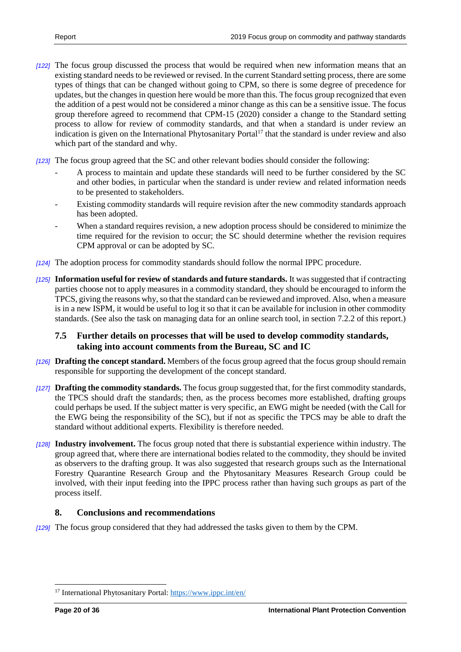- *[122]* The focus group discussed the process that would be required when new information means that an existing standard needs to be reviewed or revised. In the current Standard setting process, there are some types of things that can be changed without going to CPM, so there is some degree of precedence for updates, but the changes in question here would be more than this. The focus group recognized that even the addition of a pest would not be considered a minor change as this can be a sensitive issue. The focus group therefore agreed to recommend that CPM-15 (2020) consider a change to the Standard setting process to allow for review of commodity standards, and that when a standard is under review an indication is given on the International Phytosanitary Portal $17$  that the standard is under review and also which part of the standard and why.
- *[123]* The focus group agreed that the SC and other relevant bodies should consider the following:
	- A process to maintain and update these standards will need to be further considered by the SC and other bodies, in particular when the standard is under review and related information needs to be presented to stakeholders.
	- Existing commodity standards will require revision after the new commodity standards approach has been adopted.
	- When a standard requires revision, a new adoption process should be considered to minimize the time required for the revision to occur; the SC should determine whether the revision requires CPM approval or can be adopted by SC.
- *[124]* The adoption process for commodity standards should follow the normal IPPC procedure.
- *[125]* **Information useful for review of standards and future standards.** It was suggested that if contracting parties choose not to apply measures in a commodity standard, they should be encouraged to inform the TPCS, giving the reasons why, so that the standard can be reviewed and improved. Also, when a measure is in a new ISPM, it would be useful to log it so that it can be available for inclusion in other commodity standards. (See also the task on managing data for an online search tool, in section 7.2.2 of this report.)

## <span id="page-19-0"></span>**7.5 Further details on processes that will be used to develop commodity standards, taking into account comments from the Bureau, SC and IC**

- *[126]* **Drafting the concept standard.** Members of the focus group agreed that the focus group should remain responsible for supporting the development of the concept standard.
- *[127]* **Drafting the commodity standards.** The focus group suggested that, for the first commodity standards, the TPCS should draft the standards; then, as the process becomes more established, drafting groups could perhaps be used. If the subject matter is very specific, an EWG might be needed (with the Call for the EWG being the responsibility of the SC), but if not as specific the TPCS may be able to draft the standard without additional experts. Flexibility is therefore needed.
- *[128]* **Industry involvement.** The focus group noted that there is substantial experience within industry. The group agreed that, where there are international bodies related to the commodity, they should be invited as observers to the drafting group. It was also suggested that research groups such as the International Forestry Quarantine Research Group and the Phytosanitary Measures Research Group could be involved, with their input feeding into the IPPC process rather than having such groups as part of the process itself.

## <span id="page-19-1"></span>**8. Conclusions and recommendations**

*[129]* The focus group considered that they had addressed the tasks given to them by the CPM.

 $\overline{a}$ <sup>17</sup> International Phytosanitary Portal:<https://www.ippc.int/en/>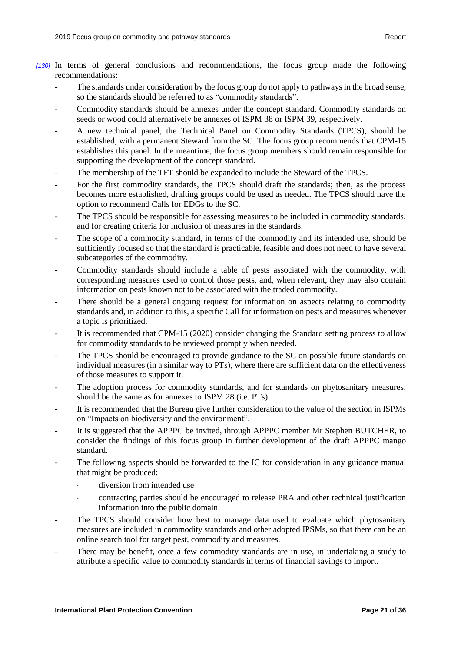- *[130]* In terms of general conclusions and recommendations, the focus group made the following recommendations:
	- The standards under consideration by the focus group do not apply to pathways in the broad sense, so the standards should be referred to as "commodity standards".
	- Commodity standards should be annexes under the concept standard. Commodity standards on seeds or wood could alternatively be annexes of ISPM 38 or ISPM 39, respectively.
	- A new technical panel, the Technical Panel on Commodity Standards (TPCS), should be established, with a permanent Steward from the SC. The focus group recommends that CPM-15 establishes this panel. In the meantime, the focus group members should remain responsible for supporting the development of the concept standard.
	- The membership of the TFT should be expanded to include the Steward of the TPCS.
	- For the first commodity standards, the TPCS should draft the standards; then, as the process becomes more established, drafting groups could be used as needed. The TPCS should have the option to recommend Calls for EDGs to the SC.
	- The TPCS should be responsible for assessing measures to be included in commodity standards, and for creating criteria for inclusion of measures in the standards.
	- The scope of a commodity standard, in terms of the commodity and its intended use, should be sufficiently focused so that the standard is practicable, feasible and does not need to have several subcategories of the commodity.
	- Commodity standards should include a table of pests associated with the commodity, with corresponding measures used to control those pests, and, when relevant, they may also contain information on pests known not to be associated with the traded commodity.
	- There should be a general ongoing request for information on aspects relating to commodity standards and, in addition to this, a specific Call for information on pests and measures whenever a topic is prioritized.
	- It is recommended that CPM-15 (2020) consider changing the Standard setting process to allow for commodity standards to be reviewed promptly when needed.
	- The TPCS should be encouraged to provide guidance to the SC on possible future standards on individual measures (in a similar way to PTs), where there are sufficient data on the effectiveness of those measures to support it.
	- The adoption process for commodity standards, and for standards on phytosanitary measures, should be the same as for annexes to ISPM 28 (i.e. PTs).
	- It is recommended that the Bureau give further consideration to the value of the section in ISPMs on "Impacts on biodiversity and the environment".
	- It is suggested that the APPPC be invited, through APPPC member Mr Stephen BUTCHER, to consider the findings of this focus group in further development of the draft APPPC mango standard.
	- The following aspects should be forwarded to the IC for consideration in any guidance manual that might be produced:
		- diversion from intended use
		- contracting parties should be encouraged to release PRA and other technical justification information into the public domain.
	- The TPCS should consider how best to manage data used to evaluate which phytosanitary measures are included in commodity standards and other adopted IPSMs, so that there can be an online search tool for target pest, commodity and measures.
	- There may be benefit, once a few commodity standards are in use, in undertaking a study to attribute a specific value to commodity standards in terms of financial savings to import.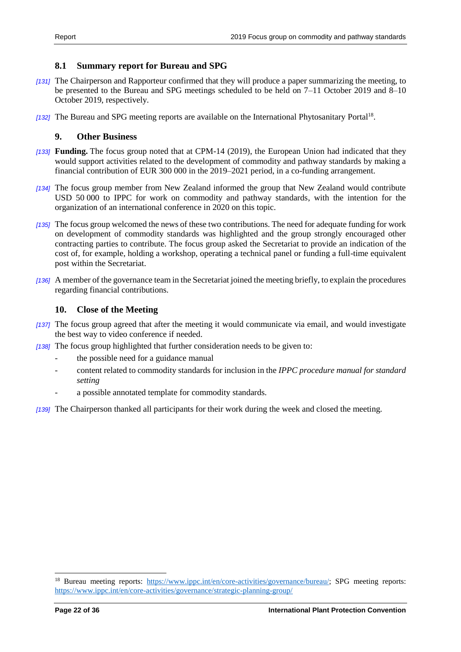## <span id="page-21-0"></span>**8.1 Summary report for Bureau and SPG**

- *[131]* The Chairperson and Rapporteur confirmed that they will produce a paper summarizing the meeting, to be presented to the Bureau and SPG meetings scheduled to be held on 7–11 October 2019 and 8–10 October 2019, respectively.
- [132] The Bureau and SPG meeting reports are available on the International Phytosanitary Portal<sup>18</sup>.

## <span id="page-21-1"></span>**9. Other Business**

- *[133]* **Funding.** The focus group noted that at CPM-14 (2019), the European Union had indicated that they would support activities related to the development of commodity and pathway standards by making a financial contribution of EUR 300 000 in the 2019–2021 period, in a co-funding arrangement.
- *[134]* The focus group member from New Zealand informed the group that New Zealand would contribute USD 50 000 to IPPC for work on commodity and pathway standards, with the intention for the organization of an international conference in 2020 on this topic.
- *[135]* The focus group welcomed the news of these two contributions. The need for adequate funding for work on development of commodity standards was highlighted and the group strongly encouraged other contracting parties to contribute. The focus group asked the Secretariat to provide an indication of the cost of, for example, holding a workshop, operating a technical panel or funding a full-time equivalent post within the Secretariat.
- *[136]* A member of the governance team in the Secretariat joined the meeting briefly, to explain the procedures regarding financial contributions.

## <span id="page-21-2"></span>**10. Close of the Meeting**

- *[137]* The focus group agreed that after the meeting it would communicate via email, and would investigate the best way to video conference if needed.
- *[138]* The focus group highlighted that further consideration needs to be given to:
	- the possible need for a guidance manual
	- content related to commodity standards for inclusion in the *IPPC procedure manual for standard setting*
	- a possible annotated template for commodity standards.
- *[139]* The Chairperson thanked all participants for their work during the week and closed the meeting.

 $\overline{\phantom{a}}$ 

<sup>&</sup>lt;sup>18</sup> Bureau meeting reports: [https://www.ippc.int/en/core-activities/governance/bureau/;](https://www.ippc.int/en/core-activities/governance/bureau/) SPG meeting reports: <https://www.ippc.int/en/core-activities/governance/strategic-planning-group/>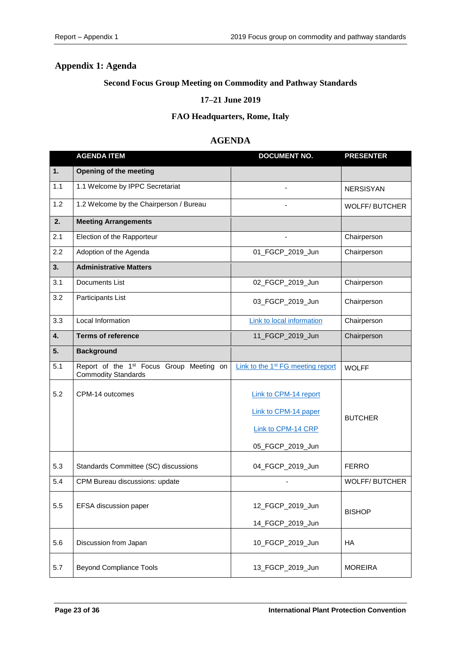## <span id="page-22-0"></span>**Appendix 1: Agenda**

## **Second Focus Group Meeting on Commodity and Pathway Standards**

## **17–21 June 2019**

## **FAO Headquarters, Rome, Italy**

## **AGENDA**

|     | <b>AGENDA ITEM</b>                                                                 | <b>DOCUMENT NO.</b>                           | <b>PRESENTER</b>     |
|-----|------------------------------------------------------------------------------------|-----------------------------------------------|----------------------|
| 1.  | Opening of the meeting                                                             |                                               |                      |
| 1.1 | 1.1 Welcome by IPPC Secretariat                                                    |                                               | <b>NERSISYAN</b>     |
| 1.2 | 1.2 Welcome by the Chairperson / Bureau                                            |                                               | <b>WOLFF/BUTCHER</b> |
| 2.  | <b>Meeting Arrangements</b>                                                        |                                               |                      |
| 2.1 | Election of the Rapporteur                                                         |                                               | Chairperson          |
| 2.2 | Adoption of the Agenda                                                             | 01_FGCP_2019_Jun                              | Chairperson          |
| 3.  | <b>Administrative Matters</b>                                                      |                                               |                      |
| 3.1 | Documents List                                                                     | 02_FGCP_2019_Jun                              | Chairperson          |
| 3.2 | Participants List                                                                  | 03_FGCP_2019_Jun                              | Chairperson          |
| 3.3 | Local Information                                                                  | <b>Link to local information</b>              | Chairperson          |
| 4.  | <b>Terms of reference</b>                                                          | 11_FGCP_2019_Jun                              | Chairperson          |
| 5.  | <b>Background</b>                                                                  |                                               |                      |
| 5.1 | Report of the 1 <sup>st</sup> Focus Group Meeting on<br><b>Commodity Standards</b> | Link to the 1 <sup>st</sup> FG meeting report | <b>WOLFF</b>         |
| 5.2 | CPM-14 outcomes                                                                    | <b>Link to CPM-14 report</b>                  |                      |
|     |                                                                                    | Link to CPM-14 paper                          | <b>BUTCHER</b>       |
|     |                                                                                    | Link to CPM-14 CRP                            |                      |
|     |                                                                                    | 05_FGCP_2019_Jun                              |                      |
| 5.3 | Standards Committee (SC) discussions                                               | 04_FGCP_2019_Jun                              | <b>FERRO</b>         |
| 5.4 | CPM Bureau discussions: update                                                     |                                               | <b>WOLFF/BUTCHER</b> |
| 5.5 | EFSA discussion paper                                                              | 12_FGCP_2019_Jun                              | <b>BISHOP</b>        |
|     |                                                                                    | 14_FGCP_2019_Jun                              |                      |
| 5.6 | Discussion from Japan                                                              | 10_FGCP_2019_Jun                              | HA                   |
| 5.7 | <b>Beyond Compliance Tools</b>                                                     | 13_FGCP_2019_Jun                              | <b>MOREIRA</b>       |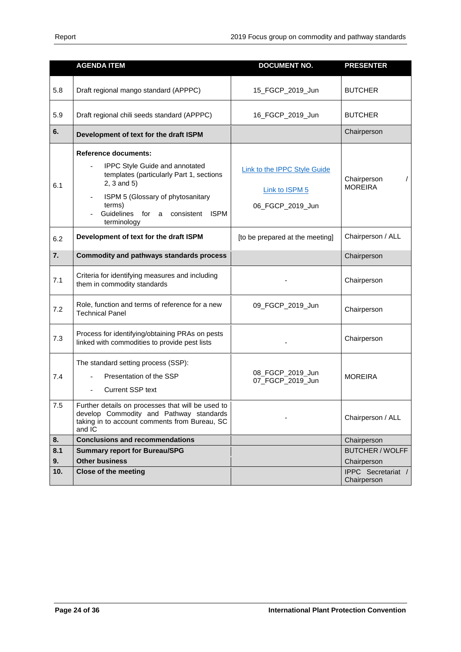|     | <b>AGENDA ITEM</b>                                                                                                                                                                                                                    | <b>DOCUMENT NO.</b>                                                       | <b>PRESENTER</b>                  |
|-----|---------------------------------------------------------------------------------------------------------------------------------------------------------------------------------------------------------------------------------------|---------------------------------------------------------------------------|-----------------------------------|
| 5.8 | Draft regional mango standard (APPPC)                                                                                                                                                                                                 | 15_FGCP_2019_Jun                                                          | <b>BUTCHER</b>                    |
| 5.9 | Draft regional chili seeds standard (APPPC)                                                                                                                                                                                           | 16_FGCP_2019_Jun                                                          | <b>BUTCHER</b>                    |
| 6.  | Development of text for the draft ISPM                                                                                                                                                                                                |                                                                           | Chairperson                       |
| 6.1 | <b>Reference documents:</b><br><b>IPPC Style Guide and annotated</b><br>templates (particularly Part 1, sections<br>$2, 3$ and $5)$<br>ISPM 5 (Glossary of phytosanitary<br>terms)<br>Guidelines for a consistent ISPM<br>terminology | <b>Link to the IPPC Style Guide</b><br>Link to ISPM 5<br>06_FGCP_2019_Jun | Chairperson<br><b>MOREIRA</b>     |
| 6.2 | Development of text for the draft ISPM                                                                                                                                                                                                | [to be prepared at the meeting]                                           | Chairperson / ALL                 |
| 7.  | <b>Commodity and pathways standards process</b>                                                                                                                                                                                       |                                                                           | Chairperson                       |
| 7.1 | Criteria for identifying measures and including<br>them in commodity standards                                                                                                                                                        |                                                                           | Chairperson                       |
| 7.2 | Role, function and terms of reference for a new<br><b>Technical Panel</b>                                                                                                                                                             | 09_FGCP_2019_Jun                                                          | Chairperson                       |
| 7.3 | Process for identifying/obtaining PRAs on pests<br>linked with commodities to provide pest lists                                                                                                                                      |                                                                           | Chairperson                       |
| 7.4 | The standard setting process (SSP):<br>Presentation of the SSP<br><b>Current SSP text</b>                                                                                                                                             | 08_FGCP_2019_Jun<br>07_FGCP_2019_Jun                                      | <b>MOREIRA</b>                    |
| 7.5 | Further details on processes that will be used to<br>develop Commodity and Pathway standards<br>taking in to account comments from Bureau, SC<br>and IC                                                                               |                                                                           | Chairperson / ALL                 |
| 8.  | <b>Conclusions and recommendations</b>                                                                                                                                                                                                |                                                                           | Chairperson                       |
| 8.1 | <b>Summary report for Bureau/SPG</b>                                                                                                                                                                                                  |                                                                           | <b>BUTCHER/WOLFF</b>              |
| 9.  | <b>Other business</b>                                                                                                                                                                                                                 |                                                                           | Chairperson                       |
| 10. | <b>Close of the meeting</b>                                                                                                                                                                                                           |                                                                           | IPPC Secretariat /<br>Chairperson |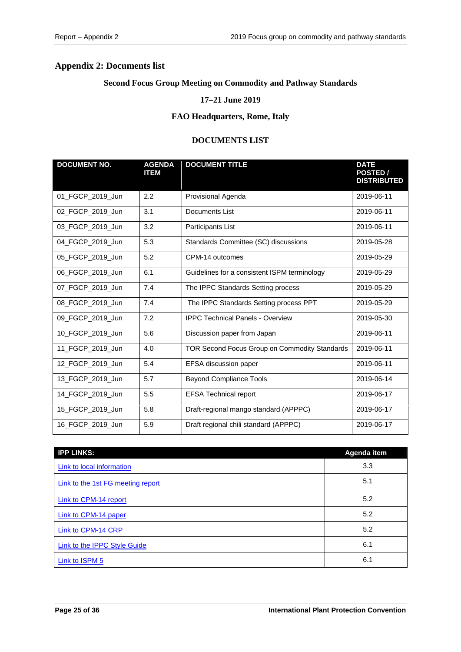## <span id="page-24-0"></span>**Appendix 2: Documents list**

## **Second Focus Group Meeting on Commodity and Pathway Standards**

## **17–21 June 2019**

## **FAO Headquarters, Rome, Italy**

## **DOCUMENTS LIST**

| <b>DOCUMENT NO.</b> | <b>AGENDA</b><br><b>ITEM</b> | <b>DOCUMENT TITLE</b>                         | <b>DATE</b><br>POSTED /<br><b>DISTRIBUTED</b> |
|---------------------|------------------------------|-----------------------------------------------|-----------------------------------------------|
| 01_FGCP_2019_Jun    | 2.2                          | Provisional Agenda                            | 2019-06-11                                    |
| 02_FGCP_2019_Jun    | 3.1                          | Documents List                                | 2019-06-11                                    |
| 03_FGCP_2019_Jun    | 3.2                          | Participants List                             | 2019-06-11                                    |
| 04_FGCP_2019_Jun    | 5.3                          | Standards Committee (SC) discussions          | 2019-05-28                                    |
| 05 FGCP 2019 Jun    | 5.2                          | CPM-14 outcomes                               | 2019-05-29                                    |
| 06_FGCP_2019_Jun    | 6.1                          | Guidelines for a consistent ISPM terminology  | 2019-05-29                                    |
| 07_FGCP_2019_Jun    | 7.4                          | The IPPC Standards Setting process            | 2019-05-29                                    |
| 08 FGCP 2019 Jun    | 7.4                          | The IPPC Standards Setting process PPT        | 2019-05-29                                    |
| 09 FGCP 2019 Jun    | 7.2                          | <b>IPPC Technical Panels - Overview</b>       | 2019-05-30                                    |
| 10_FGCP_2019_Jun    | 5.6                          | Discussion paper from Japan                   | 2019-06-11                                    |
| 11_FGCP_2019_Jun    | 4.0                          | TOR Second Focus Group on Commodity Standards | 2019-06-11                                    |
| 12_FGCP_2019_Jun    | 5.4                          | EFSA discussion paper                         | 2019-06-11                                    |
| 13_FGCP_2019_Jun    | 5.7                          | <b>Beyond Compliance Tools</b>                | 2019-06-14                                    |
| 14 FGCP 2019 Jun    | 5.5                          | <b>EFSA Technical report</b>                  | 2019-06-17                                    |
| 15_FGCP_2019_Jun    | 5.8                          | Draft-regional mango standard (APPPC)         | 2019-06-17                                    |
| 16_FGCP_2019_Jun    | 5.9                          | Draft regional chili standard (APPPC)         | 2019-06-17                                    |

| <b>IPP LINKS:</b>                   | Agenda item |
|-------------------------------------|-------------|
| <b>Link to local information</b>    | 3.3         |
| Link to the 1st FG meeting report   | 5.1         |
| <b>Link to CPM-14 report</b>        | 5.2         |
| <b>Link to CPM-14 paper</b>         | 5.2         |
| <b>Link to CPM-14 CRP</b>           | 5.2         |
| <b>Link to the IPPC Style Guide</b> | 6.1         |
| Link to ISPM 5                      | 6.1         |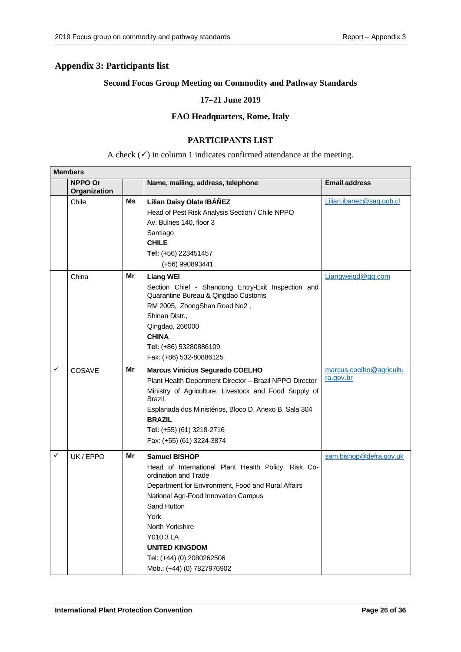## <span id="page-25-0"></span>**Appendix 3: Participants list**

## **Second Focus Group Meeting on Commodity and Pathway Standards**

## **17–21 June 2019**

## **FAO Headquarters, Rome, Italy**

## **PARTICIPANTS LIST**

#### A check  $(\checkmark)$  in column 1 indicates confirmed attendance at the meeting.

|   | <b>Members</b>                 |    |                                                                                                                                                                                                                                                                                                                                              |                                      |  |
|---|--------------------------------|----|----------------------------------------------------------------------------------------------------------------------------------------------------------------------------------------------------------------------------------------------------------------------------------------------------------------------------------------------|--------------------------------------|--|
|   | <b>NPPO Or</b><br>Organization |    | Name, mailing, address, telephone                                                                                                                                                                                                                                                                                                            | <b>Email address</b>                 |  |
|   | Chile                          | Ms | Lilian Daisy Olate IBÁÑEZ<br>Head of Pest Risk Analysis Section / Chile NPPO<br>Av. Bulnes 140, floor 3<br>Santiago<br><b>CHILE</b><br>Tel: (+56) 223451457<br>(+56) 990893441                                                                                                                                                               | Lilian.ibanez@sag.gob.cl             |  |
|   | China                          | Mr | <b>Liang WEI</b><br>Section Chief - Shandong Entry-Exit Inspection and<br>Quarantine Bureau & Qingdao Customs<br>RM 2005, ZhongShan Road No2,<br>Shinan Distr.,<br>Qingdao, 266000<br><b>CHINA</b><br>Tel: (+86) 53280886109<br>Fax: (+86) 532-80886125                                                                                      | Liangweigd@gq.com                    |  |
| ✓ | COSAVE                         | Mr | <b>Marcus Vinicius Segurado COELHO</b><br>Plant Health Department Director - Brazil NPPO Director<br>Ministry of Agriculture, Livestock and Food Supply of<br>Brazil,<br>Esplanada dos Ministérios, Bloco D, Anexo B, Sala 304<br><b>BRAZIL</b><br>Tel: (+55) (61) 3218-2716<br>Fax: (+55) (61) 3224-3874                                    | marcus.coelho@agricultu<br>ra.gov.br |  |
| ✓ | UK / EPPO                      | Mr | <b>Samuel BISHOP</b><br>Head of International Plant Health Policy, Risk Co-<br>ordination and Trade<br>Department for Environment, Food and Rural Affairs<br>National Agri-Food Innovation Campus<br>Sand Hutton<br>York<br>North Yorkshire<br>Y010 3 LA<br><b>UNITED KINGDOM</b><br>Tel: (+44) (0) 2080262506<br>Mob.: (+44) (0) 7827976902 | sam.bishop@defra.gov.uk              |  |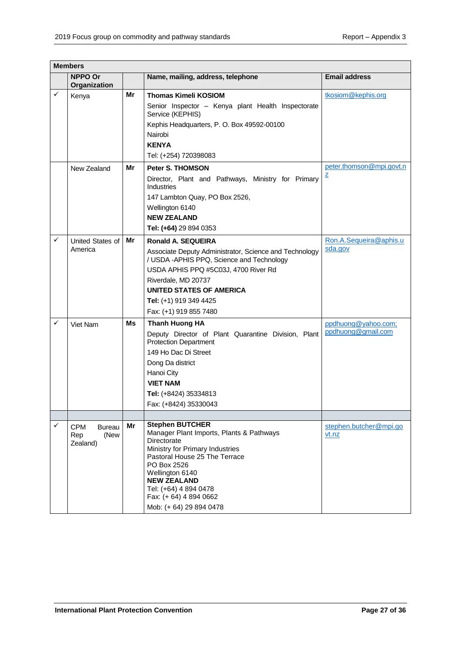|   | <b>Members</b>                             |    |                                                                        |                                          |  |
|---|--------------------------------------------|----|------------------------------------------------------------------------|------------------------------------------|--|
|   | <b>NPPO Or</b><br>Organization             |    | Name, mailing, address, telephone                                      | <b>Email address</b>                     |  |
| ✓ | Kenya                                      | Mr | <b>Thomas Kimeli KOSIOM</b>                                            | tkosiom@kephis.org                       |  |
|   |                                            |    | Senior Inspector - Kenya plant Health Inspectorate<br>Service (KEPHIS) |                                          |  |
|   |                                            |    | Kephis Headquarters, P.O. Box 49592-00100                              |                                          |  |
|   |                                            |    | Nairobi                                                                |                                          |  |
|   |                                            |    | <b>KENYA</b>                                                           |                                          |  |
|   |                                            |    | Tel: (+254) 720398083                                                  |                                          |  |
|   | New Zealand                                | Mr | <b>Peter S. THOMSON</b>                                                | peter.thomson@mpi.govt.n<br>$\mathbf{Z}$ |  |
|   |                                            |    | Director, Plant and Pathways, Ministry for Primary<br>Industries       |                                          |  |
|   |                                            |    | 147 Lambton Quay, PO Box 2526,                                         |                                          |  |
|   |                                            |    | Wellington 6140                                                        |                                          |  |
|   |                                            |    | <b>NEW ZEALAND</b>                                                     |                                          |  |
|   |                                            |    | Tel: (+64) 29 894 0353                                                 |                                          |  |
| ✓ | United States of                           | Mr | <b>Ronald A. SEQUEIRA</b>                                              | Ron.A.Sequeira@aphis.u                   |  |
|   | America                                    |    | Associate Deputy Administrator, Science and Technology                 | sda.gov                                  |  |
|   |                                            |    | / USDA -APHIS PPQ, Science and Technology                              |                                          |  |
|   |                                            |    | USDA APHIS PPQ #5C03J, 4700 River Rd                                   |                                          |  |
|   |                                            |    | Riverdale, MD 20737<br>UNITED STATES OF AMERICA                        |                                          |  |
|   |                                            |    | Tel: (+1) 919 349 4425                                                 |                                          |  |
|   |                                            |    | Fax: (+1) 919 855 7480                                                 |                                          |  |
| ✓ | Viet Nam                                   | Ms | <b>Thanh Huong HA</b>                                                  | ppdhuong@yahoo.com;                      |  |
|   |                                            |    | Deputy Director of Plant Quarantine Division, Plant                    | ppdhuong@gmail.com                       |  |
|   |                                            |    | <b>Protection Department</b>                                           |                                          |  |
|   |                                            |    | 149 Ho Dac Di Street                                                   |                                          |  |
|   |                                            |    | Dong Da district                                                       |                                          |  |
|   |                                            |    | Hanoi City                                                             |                                          |  |
|   |                                            |    | <b>VIET NAM</b>                                                        |                                          |  |
|   |                                            |    | Tel: (+8424) 35334813                                                  |                                          |  |
|   |                                            |    | Fax: (+8424) 35330043                                                  |                                          |  |
| ✓ |                                            | Mr | <b>Stephen BUTCHER</b>                                                 |                                          |  |
|   | <b>CPM</b><br><b>Bureau</b><br>Rep<br>(New |    | Manager Plant Imports, Plants & Pathways                               | stephen.butcher@mpi.go<br>vt.nz          |  |
|   | Zealand)                                   |    | Directorate                                                            |                                          |  |
|   |                                            |    | Ministry for Primary Industries<br>Pastoral House 25 The Terrace       |                                          |  |
|   |                                            |    | PO Box 2526                                                            |                                          |  |
|   |                                            |    | Wellington 6140<br><b>NEW ZEALAND</b>                                  |                                          |  |
|   |                                            |    | Tel: (+64) 4 894 0478                                                  |                                          |  |
|   |                                            |    | Fax: (+ 64) 4 894 0662                                                 |                                          |  |
|   |                                            |    | Mob: (+64) 29 894 0478                                                 |                                          |  |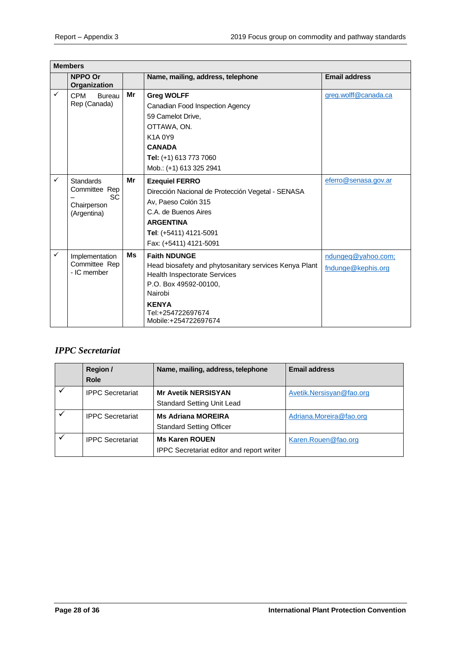| <b>Members</b> |                                                                              |    |                                                                                                                                                                                                                      |                                          |
|----------------|------------------------------------------------------------------------------|----|----------------------------------------------------------------------------------------------------------------------------------------------------------------------------------------------------------------------|------------------------------------------|
|                | <b>NPPO Or</b><br>Organization                                               |    | Name, mailing, address, telephone                                                                                                                                                                                    | <b>Email address</b>                     |
| ✓              | <b>CPM</b><br>Bureau<br>Rep (Canada)                                         | Mr | <b>Greg WOLFF</b><br>Canadian Food Inspection Agency<br>59 Camelot Drive,<br>OTTAWA, ON.                                                                                                                             | greg.wolff@canada.ca                     |
|                |                                                                              |    | K1A 0Y9<br><b>CANADA</b><br>Tel: (+1) 613 773 7060<br>Mob.: (+1) 613 325 2941                                                                                                                                        |                                          |
| ✓              | <b>Standards</b><br>Committee Rep<br><b>SC</b><br>Chairperson<br>(Argentina) | Mr | <b>Ezequiel FERRO</b><br>Dirección Nacional de Protección Vegetal - SENASA<br>Av, Paeso Colón 315<br>C.A. de Buenos Aires<br><b>ARGENTINA</b><br>Tel: (+5411) 4121-5091<br>Fax: (+5411) 4121-5091                    | eferro@senasa.gov.ar                     |
| ✓              | Implementation<br>Committee Rep<br>- IC member                               | Ms | <b>Faith NDUNGE</b><br>Head biosafety and phytosanitary services Kenya Plant<br><b>Health Inspectorate Services</b><br>P.O. Box 49592-00100,<br>Nairobi<br><b>KENYA</b><br>Tel:+254722697674<br>Mobile:+254722697674 | ndungeq@yahoo.com;<br>fndunge@kephis.org |

## *IPPC Secretariat*

| Region /<br><b>Role</b> | Name, mailing, address, telephone                | <b>Email address</b>     |
|-------------------------|--------------------------------------------------|--------------------------|
| <b>IPPC Secretariat</b> | <b>Mr Avetik NERSISYAN</b>                       | Avetik.Nersisyan@fao.org |
|                         | <b>Standard Setting Unit Lead</b>                |                          |
| <b>IPPC Secretariat</b> | <b>Ms Adriana MOREIRA</b>                        | Adriana.Moreira@fao.org  |
|                         | <b>Standard Setting Officer</b>                  |                          |
| <b>IPPC Secretariat</b> | <b>Ms Karen ROUEN</b>                            | Karen.Rouen@fao.org      |
|                         | <b>IPPC</b> Secretariat editor and report writer |                          |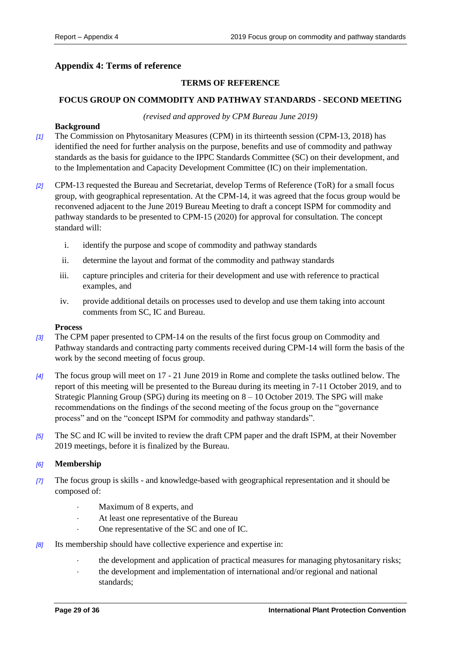## <span id="page-28-0"></span>**Appendix 4: Terms of reference**

## **TERMS OF REFERENCE**

## **FOCUS GROUP ON COMMODITY AND PATHWAY STANDARDS - SECOND MEETING**

*(revised and approved by CPM Bureau June 2019)*

## **Background**

- *[1]* The Commission on Phytosanitary Measures (CPM) in its thirteenth session (CPM-13, 2018) has identified the need for further analysis on the purpose, benefits and use of commodity and pathway standards as the basis for guidance to the IPPC Standards Committee (SC) on their development, and to the Implementation and Capacity Development Committee (IC) on their implementation.
- *[2]* CPM-13 requested the Bureau and Secretariat, develop Terms of Reference (ToR) for a small focus group, with geographical representation. At the CPM-14, it was agreed that the focus group would be reconvened adjacent to the June 2019 Bureau Meeting to draft a concept ISPM for commodity and pathway standards to be presented to CPM-15 (2020) for approval for consultation. The concept standard will:
	- i. identify the purpose and scope of commodity and pathway standards
	- ii. determine the layout and format of the commodity and pathway standards
	- iii. capture principles and criteria for their development and use with reference to practical examples, and
	- iv. provide additional details on processes used to develop and use them taking into account comments from SC, IC and Bureau.

#### **Process**

- *[3]* The CPM paper presented to CPM-14 on the results of the first focus group on Commodity and Pathway standards and contracting party comments received during CPM-14 will form the basis of the work by the second meeting of focus group.
- *[4]* The focus group will meet on 17 21 June 2019 in Rome and complete the tasks outlined below. The report of this meeting will be presented to the Bureau during its meeting in 7-11 October 2019, and to Strategic Planning Group (SPG) during its meeting on 8 – 10 October 2019. The SPG will make recommendations on the findings of the second meeting of the focus group on the "governance process" and on the "concept ISPM for commodity and pathway standards".
- *[5]* The SC and IC will be invited to review the draft CPM paper and the draft ISPM, at their November 2019 meetings, before it is finalized by the Bureau.

## *[6]* **Membership**

- *[7]* The focus group is skills and knowledge-based with geographical representation and it should be composed of:
	- Maximum of 8 experts, and
	- At least one representative of the Bureau
	- One representative of the SC and one of IC.
- *[8]* Its membership should have collective experience and expertise in:
	- the development and application of practical measures for managing phytosanitary risks;
	- the development and implementation of international and/or regional and national standards;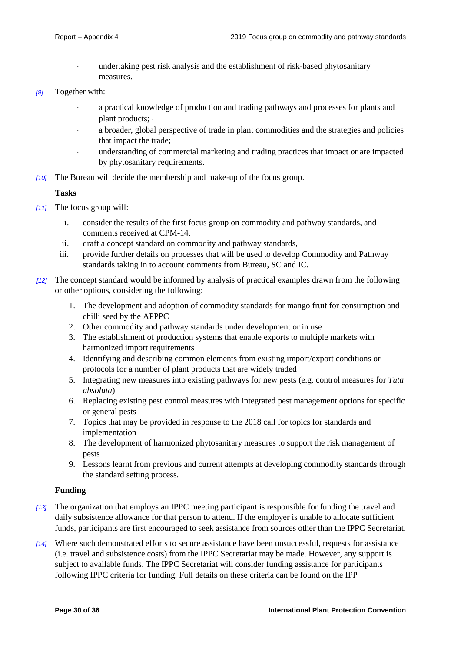- undertaking pest risk analysis and the establishment of risk-based phytosanitary measures.
- *[9]* Together with:
	- a practical knowledge of production and trading pathways and processes for plants and plant products:  $\cdot$
	- a broader, global perspective of trade in plant commodities and the strategies and policies that impact the trade;
	- understanding of commercial marketing and trading practices that impact or are impacted by phytosanitary requirements.
- *[10]* The Bureau will decide the membership and make-up of the focus group.

## **Tasks**

- *[11]* The focus group will:
	- i. consider the results of the first focus group on commodity and pathway standards, and comments received at CPM-14,
	- ii. draft a concept standard on commodity and pathway standards,
	- iii. provide further details on processes that will be used to develop Commodity and Pathway standards taking in to account comments from Bureau, SC and IC.
- *[12]* The concept standard would be informed by analysis of practical examples drawn from the following or other options, considering the following:
	- 1. The development and adoption of commodity standards for mango fruit for consumption and chilli seed by the APPPC
	- 2. Other commodity and pathway standards under development or in use
	- 3. The establishment of production systems that enable exports to multiple markets with harmonized import requirements
	- 4. Identifying and describing common elements from existing import/export conditions or protocols for a number of plant products that are widely traded
	- 5. Integrating new measures into existing pathways for new pests (e.g. control measures for *Tuta absoluta*)
	- 6. Replacing existing pest control measures with integrated pest management options for specific or general pests
	- 7. Topics that may be provided in response to the 2018 call for topics for standards and implementation
	- 8. The development of harmonized phytosanitary measures to support the risk management of pests
	- 9. Lessons learnt from previous and current attempts at developing commodity standards through the standard setting process.

## **Funding**

- *[13]* The organization that employs an IPPC meeting participant is responsible for funding the travel and daily subsistence allowance for that person to attend. If the employer is unable to allocate sufficient funds, participants are first encouraged to seek assistance from sources other than the IPPC Secretariat.
- *[14]* Where such demonstrated efforts to secure assistance have been unsuccessful, requests for assistance (i.e. travel and subsistence costs) from the IPPC Secretariat may be made. However, any support is subject to available funds. The IPPC Secretariat will consider funding assistance for participants following IPPC criteria for funding. Full details on these criteria can be found on the IPP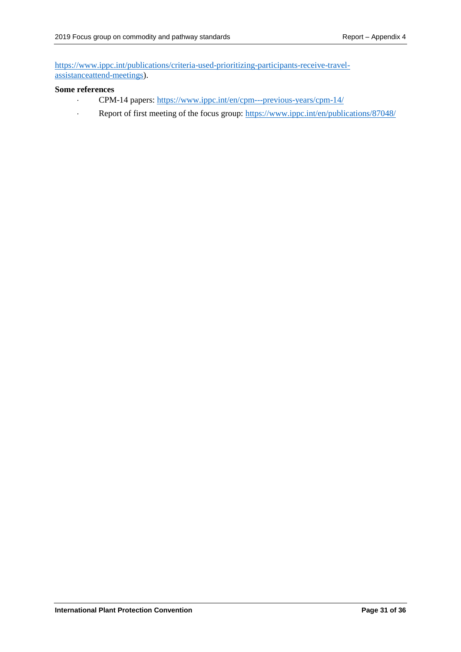[https://www.ippc.int/publications/criteria-used-prioritizing-participants-receive-travel](https://www.ippc.int/publications/criteria-used-prioritizing-participants-receive-travel-assistanceattend-meetings)[assistanceattend-meetings\)](https://www.ippc.int/publications/criteria-used-prioritizing-participants-receive-travel-assistanceattend-meetings).

## **Some references**

- CPM-14 papers:<https://www.ippc.int/en/cpm---previous-years/cpm-14/>
- Report of first meeting of the focus group:<https://www.ippc.int/en/publications/87048/>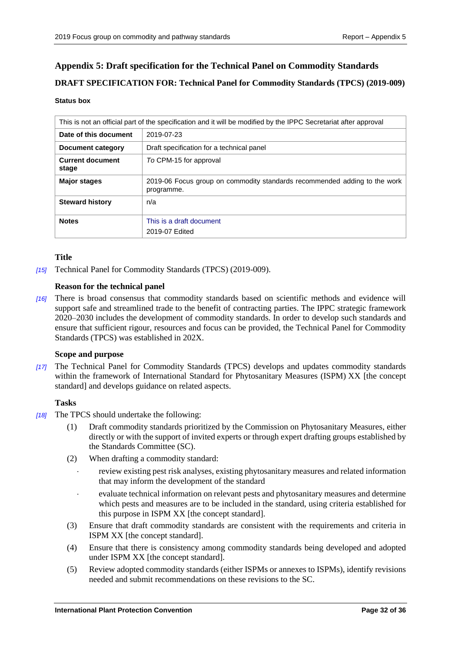## <span id="page-31-0"></span>**Appendix 5: Draft specification for the Technical Panel on Commodity Standards DRAFT SPECIFICATION FOR: Technical Panel for Commodity Standards (TPCS) (2019-009)**

#### **Status box**

| This is not an official part of the specification and it will be modified by the IPPC Secretariat after approval |                                                                                         |  |
|------------------------------------------------------------------------------------------------------------------|-----------------------------------------------------------------------------------------|--|
| Date of this document                                                                                            | 2019-07-23                                                                              |  |
| Document category                                                                                                | Draft specification for a technical panel                                               |  |
| <b>Current document</b><br>stage                                                                                 | To CPM-15 for approval                                                                  |  |
| <b>Major stages</b>                                                                                              | 2019-06 Focus group on commodity standards recommended adding to the work<br>programme. |  |
| <b>Steward history</b>                                                                                           | n/a                                                                                     |  |
| <b>Notes</b>                                                                                                     | This is a draft document<br>2019-07 Edited                                              |  |

#### **Title**

*[15]* Technical Panel for Commodity Standards (TPCS) (2019-009).

## **Reason for the technical panel**

*[16]* There is broad consensus that commodity standards based on scientific methods and evidence will support safe and streamlined trade to the benefit of contracting parties. The IPPC strategic framework 2020–2030 includes the development of commodity standards. In order to develop such standards and ensure that sufficient rigour, resources and focus can be provided, the Technical Panel for Commodity Standards (TPCS) was established in 202X.

## **Scope and purpose**

*[17]* The Technical Panel for Commodity Standards (TPCS) develops and updates commodity standards within the framework of International Standard for Phytosanitary Measures (ISPM) XX [the concept standard] and develops guidance on related aspects.

#### **Tasks**

- *[18]* The TPCS should undertake the following:
	- (1) Draft commodity standards prioritized by the Commission on Phytosanitary Measures, either directly or with the support of invited experts or through expert drafting groups established by the Standards Committee (SC).
	- (2) When drafting a commodity standard:
		- review existing pest risk analyses, existing phytosanitary measures and related information that may inform the development of the standard
		- evaluate technical information on relevant pests and phytosanitary measures and determine which pests and measures are to be included in the standard, using criteria established for this purpose in ISPM XX [the concept standard].
	- (3) Ensure that draft commodity standards are consistent with the requirements and criteria in ISPM XX [the concept standard].
	- (4) Ensure that there is consistency among commodity standards being developed and adopted under ISPM XX [the concept standard].
	- (5) Review adopted commodity standards (either ISPMs or annexes to ISPMs), identify revisions needed and submit recommendations on these revisions to the SC.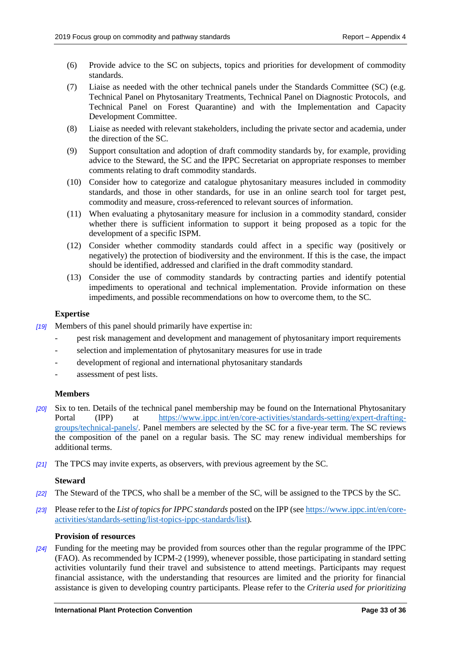- (6) Provide advice to the SC on subjects, topics and priorities for development of commodity standards.
- (7) Liaise as needed with the other technical panels under the Standards Committee (SC) (e.g. Technical Panel on Phytosanitary Treatments, Technical Panel on Diagnostic Protocols, and Technical Panel on Forest Quarantine) and with the Implementation and Capacity Development Committee.
- (8) Liaise as needed with relevant stakeholders, including the private sector and academia, under the direction of the SC.
- (9) Support consultation and adoption of draft commodity standards by, for example, providing advice to the Steward, the SC and the IPPC Secretariat on appropriate responses to member comments relating to draft commodity standards.
- (10) Consider how to categorize and catalogue phytosanitary measures included in commodity standards, and those in other standards, for use in an online search tool for target pest, commodity and measure, cross-referenced to relevant sources of information.
- (11) When evaluating a phytosanitary measure for inclusion in a commodity standard, consider whether there is sufficient information to support it being proposed as a topic for the development of a specific ISPM.
- (12) Consider whether commodity standards could affect in a specific way (positively or negatively) the protection of biodiversity and the environment. If this is the case, the impact should be identified, addressed and clarified in the draft commodity standard.
- (13) Consider the use of commodity standards by contracting parties and identify potential impediments to operational and technical implementation. Provide information on these impediments, and possible recommendations on how to overcome them, to the SC.

#### **Expertise**

- *[19]* Members of this panel should primarily have expertise in:
	- pest risk management and development and management of phytosanitary import requirements
	- selection and implementation of phytosanitary measures for use in trade
	- development of regional and international phytosanitary standards
	- assessment of pest lists.

## **Members**

- *[20]* Six to ten. Details of the technical panel membership may be found on the International Phytosanitary Portal (IPP) at [https://www.ippc.int/en/core-activities/standards-setting/expert-drafting](https://www.ippc.int/en/core-activities/standards-setting/expert-drafting-groups/technical-panels/)[groups/technical-panels/.](https://www.ippc.int/en/core-activities/standards-setting/expert-drafting-groups/technical-panels/) Panel members are selected by the SC for a five-year term. The SC reviews the composition of the panel on a regular basis. The SC may renew individual memberships for additional terms.
- *[21]* The TPCS may invite experts, as observers, with previous agreement by the SC.

## **Steward**

- *[22]* The Steward of the TPCS, who shall be a member of the SC, will be assigned to the TPCS by the SC.
- *[23]* Please refer to the *List of topics for IPPC standards* posted on the IPP (see [https://www.ippc.int/en/core](https://www.ippc.int/en/core-activities/standards-setting/list-topics-ippc-standards/list)[activities/standards-setting/list-topics-ippc-standards/list\)](https://www.ippc.int/en/core-activities/standards-setting/list-topics-ippc-standards/list)*.*

#### **Provision of resources**

*[24]* Funding for the meeting may be provided from sources other than the regular programme of the IPPC (FAO). As recommended by ICPM-2 (1999), whenever possible, those participating in standard setting activities voluntarily fund their travel and subsistence to attend meetings. Participants may request financial assistance, with the understanding that resources are limited and the priority for financial assistance is given to developing country participants. Please refer to the *Criteria used for prioritizing*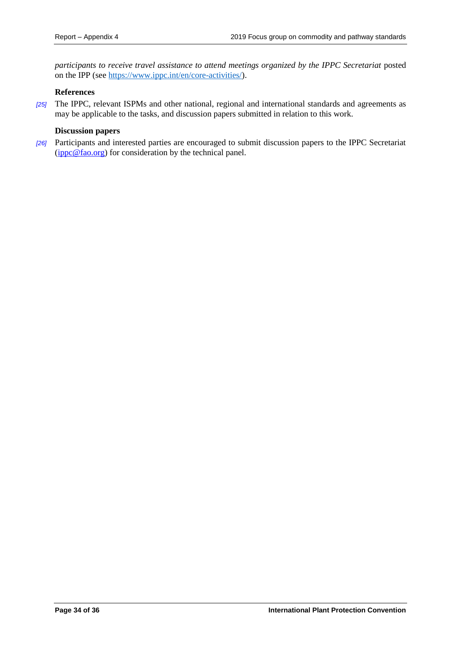*participants to receive travel assistance to attend meetings organized by the IPPC Secretariat posted* on the IPP (see [https://www.ippc.int/en/core-activities/\)](https://www.ippc.int/en/core-activities/).

## **References**

*[25]* The IPPC, relevant ISPMs and other national, regional and international standards and agreements as may be applicable to the tasks, and discussion papers submitted in relation to this work.

## **Discussion papers**

*[26]* Participants and interested parties are encouraged to submit discussion papers to the IPPC Secretariat (ippc@fao.org) for consideration by the technical panel.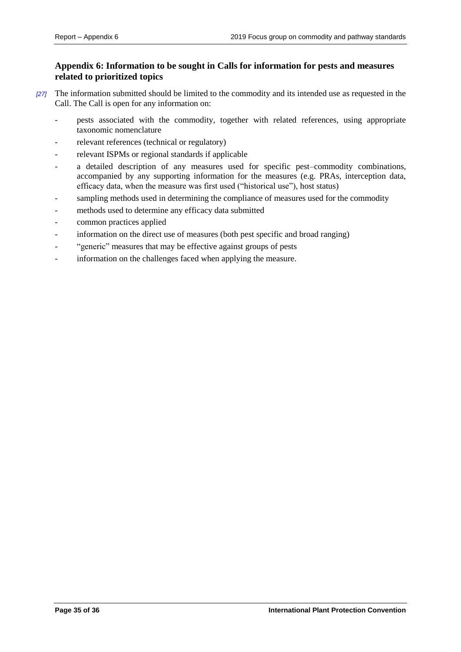## <span id="page-34-0"></span>**Appendix 6: Information to be sought in Calls for information for pests and measures related to prioritized topics**

- *[27]* The information submitted should be limited to the commodity and its intended use as requested in the Call. The Call is open for any information on:
	- pests associated with the commodity, together with related references, using appropriate taxonomic nomenclature
	- relevant references (technical or regulatory)
	- relevant ISPMs or regional standards if applicable
	- a detailed description of any measures used for specific pest–commodity combinations, accompanied by any supporting information for the measures (e.g. PRAs, interception data, efficacy data, when the measure was first used ("historical use"), host status)
	- sampling methods used in determining the compliance of measures used for the commodity
	- methods used to determine any efficacy data submitted
	- common practices applied
	- information on the direct use of measures (both pest specific and broad ranging)
	- "generic" measures that may be effective against groups of pests
	- information on the challenges faced when applying the measure.